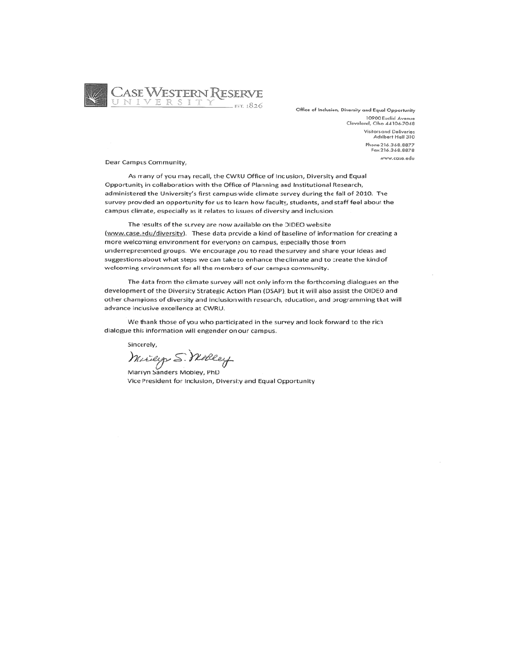

Office of Inclusion, Diversity and Equal Opportunity 10900 Euclid Ave Cleveland, Ohio 44106-7048 Visitors and Deliveries<br>Adelbert Hall 310 Phone 216.368.8877 Fax 216.368.8878 www.case.edu

Dear Campus Community,

As many of you may recall, the CWRU Office of Inclusion, Diversity and Equal Opportunity in collaboration with the Office of Planning and Institutional Research, administered the University's first campus-wide climate survey during the fall of 2010. The survey provided an opportunity for us to learn how faculty, students, and staff feel about the campus climate, especially as it relates to issues of diversity and inclusion.

The results of the survey are now available on the OIDEO website (www.case.edu/diversity). These data provide a kind of baseline of information for creating a more welcoming environment for everyone on campus, especially those from underrepresented groups. We encourage you to read the survey and share your ideas and suggestions about what steps we can take to enhance the climate and to create the kind of welcoming environment for all the members of our campus community.

The data from the climate survey will not only inform the forthcoming dialogues on the development of the Diversity Strategic Action Plan (DSAP), but it will also assist the OIDEO and other champions of diversity and inclusion with research, education, and programming that will advance inclusive excellence at CWRU.

We thank those of you who participated in the survey and look forward to the rich dialogue this information will engender on our campus.

Sincerely,

Marily S. Wolley

Vice President for Inclusion, Diversity and Equal Opportunity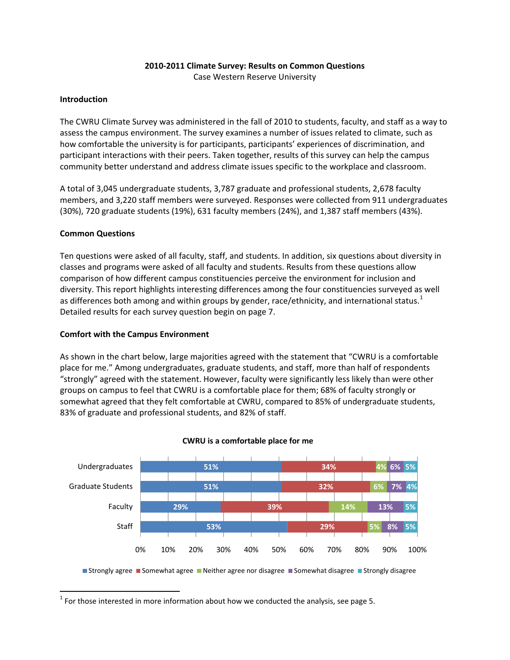### **2010‐2011 Climate Survey: Results on Common Questions**

Case Western Reserve University

#### **Introduction**

The CWRU Climate Survey was administered in the fall of 2010 to students, faculty, and staff as a way to assess the campus environment. The survey examines a number of issues related to climate, such as how comfortable the university is for participants, participants' experiences of discrimination, and participant interactions with their peers. Taken together, results of this survey can help the campus community better understand and address climate issues specific to the workplace and classroom.

A total of 3,045 undergraduate students, 3,787 graduate and professional students, 2,678 faculty members, and 3,220 staff members were surveyed. Responses were collected from 911 undergraduates (30%), 720 graduate students (19%), 631 faculty members (24%), and 1,387 staff members (43%).

#### **Common Questions**

Ten questions were asked of all faculty, staff, and students. In addition, six questions about diversity in classes and programs were asked of all faculty and students. Results from these questions allow comparison of how different campus constituencies perceive the environment for inclusion and diversity. This report highlights interesting differences among the four constituencies surveyed as well as differences both among and within groups by gender, race/ethnicity, and international status.<sup>[1](#page-1-0)</sup> Detailed results for each survey question begin on page 7.

#### **Comfort with the Campus Environment**

As shown in the chart below, large majorities agreed with the statement that "CWRU is a comfortable place for me." Among undergraduates, graduate students, and staff, more than half of respondents "strongly" agreed with the statement. However, faculty were significantly less likely than were other groups on campus to feel that CWRU is a comfortable place for them; 68% of faculty strongly or somewhat agreed that they felt comfortable at CWRU, compared to 85% of undergraduate students, 83% of graduate and professional students, and 82% of staff.



#### **CWRU is a comfortable place for me**

■ Strongly agree ■ Somewhat agree ■ Neither agree nor disagree ■ Somewhat disagree ■ Strongly disagree

<span id="page-1-0"></span> $1$  For those interested in more information about how we conducted the analysis, see page 5.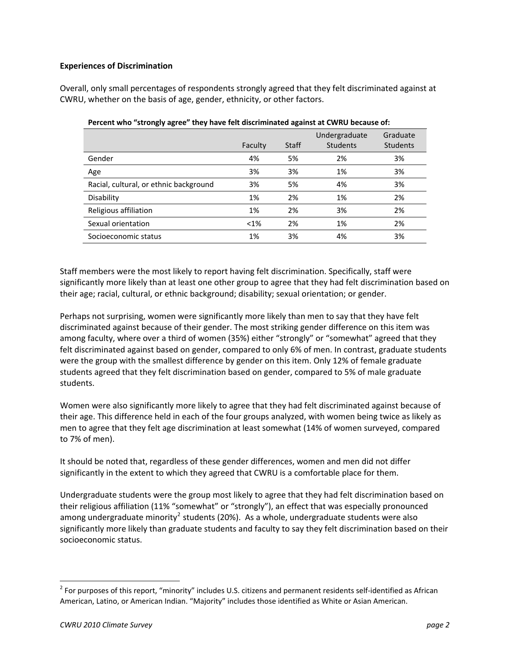### **Experiences of Discrimination**

Overall, only small percentages of respondents strongly agreed that they felt discriminated against at CWRU, whether on the basis of age, gender, ethnicity, or other factors.

| $\frac{1}{2}$ . The mass of the state of the state is the second material second second to the second of the second of the second of the second of the second of the second of the second of the second of the second of the seco |         |              |                                  |                             |
|-----------------------------------------------------------------------------------------------------------------------------------------------------------------------------------------------------------------------------------|---------|--------------|----------------------------------|-----------------------------|
|                                                                                                                                                                                                                                   | Faculty | <b>Staff</b> | Undergraduate<br><b>Students</b> | Graduate<br><b>Students</b> |
| Gender                                                                                                                                                                                                                            | 4%      | 5%           | 2%                               | 3%                          |
| Age                                                                                                                                                                                                                               | 3%      | 3%           | 1%                               | 3%                          |
| Racial, cultural, or ethnic background                                                                                                                                                                                            | 3%      | 5%           | 4%                               | 3%                          |
| Disability                                                                                                                                                                                                                        | 1%      | 2%           | 1%                               | 2%                          |
| Religious affiliation                                                                                                                                                                                                             | 1%      | 2%           | 3%                               | 2%                          |
| Sexual orientation                                                                                                                                                                                                                | $< 1\%$ | 2%           | 1%                               | 2%                          |
| Socioeconomic status                                                                                                                                                                                                              | 1%      | 3%           | 4%                               | 3%                          |

|  |  | Percent who "strongly agree" they have felt discriminated against at CWRU because of: |
|--|--|---------------------------------------------------------------------------------------|
|--|--|---------------------------------------------------------------------------------------|

Staff members were the most likely to report having felt discrimination. Specifically, staff were significantly more likely than at least one other group to agree that they had felt discrimination based on their age; racial, cultural, or ethnic background; disability; sexual orientation; or gender.

Perhaps not surprising, women were significantly more likely than men to say that they have felt discriminated against because of their gender. The most striking gender difference on this item was among faculty, where over a third of women (35%) either "strongly" or "somewhat" agreed that they felt discriminated against based on gender, compared to only 6% of men. In contrast, graduate students were the group with the smallest difference by gender on this item. Only 12% of female graduate students agreed that they felt discrimination based on gender, compared to 5% of male graduate students.

Women were also significantly more likely to agree that they had felt discriminated against because of their age. This difference held in each of the four groups analyzed, with women being twice as likely as men to agree that they felt age discrimination at least somewhat (14% of women surveyed, compared to 7% of men).

It should be noted that, regardless of these gender differences, women and men did not differ significantly in the extent to which they agreed that CWRU is a comfortable place for them.

Undergraduate students were the group most likely to agree that they had felt discrimination based on their religious affiliation (11% "somewhat" or "strongly"), an effect that was especially pronounced among undergraduate minority<sup>[2](#page-2-0)</sup> students (20%). As a whole, undergraduate students were also significantly more likely than graduate students and faculty to say they felt discrimination based on their socioeconomic status.

<span id="page-2-0"></span> $2$  For purposes of this report, "minority" includes U.S. citizens and permanent residents self-identified as African American, Latino, or American Indian. "Majority" includes those identified as White or Asian American.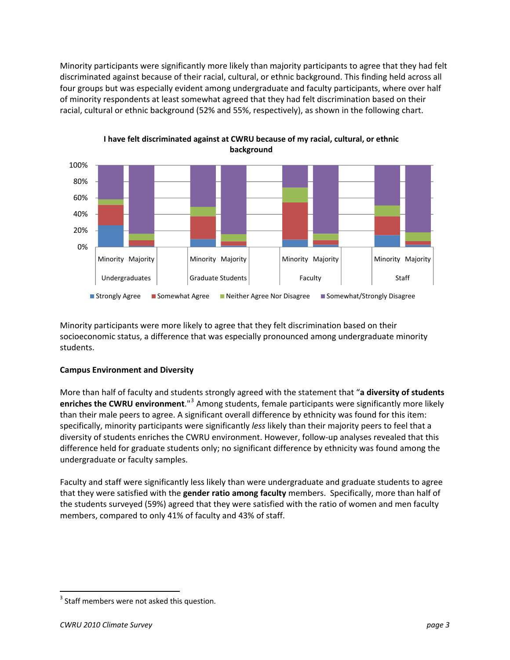Minority participants were significantly more likely than majority participants to agree that they had felt discriminated against because of their racial, cultural, or ethnic background. This finding held across all four groups but was especially evident among undergraduate and faculty participants, where over half of minority respondents at least somewhat agreed that they had felt discrimination based on their racial, cultural or ethnic background (52% and 55%, respectively), as shown in the following chart.



**I have felt discriminated against at CWRU because of my racial, cultural, or ethnic background**

Minority participants were more likely to agree that they felt discrimination based on their socioeconomic status, a difference that was especially pronounced among undergraduate minority students.

### **Campus Environment and Diversity**

More than half of faculty and students strongly agreed with the statement that "**a diversity of students enriches the CWRU environment**."[3](#page-3-0) Among students, female participants were significantly more likely than their male peers to agree. A significant overall difference by ethnicity was found for this item: specifically, minority participants were significantly *less* likely than their majority peers to feel that a diversity of students enriches the CWRU environment. However, follow‐up analyses revealed that this difference held for graduate students only; no significant difference by ethnicity was found among the undergraduate or faculty samples.

Faculty and staff were significantly less likely than were undergraduate and graduate students to agree that they were satisfied with the **gender ratio among faculty** members. Specifically, more than half of the students surveyed (59%) agreed that they were satisfied with the ratio of women and men faculty members, compared to only 41% of faculty and 43% of staff.

<span id="page-3-0"></span> $3$  Staff members were not asked this question.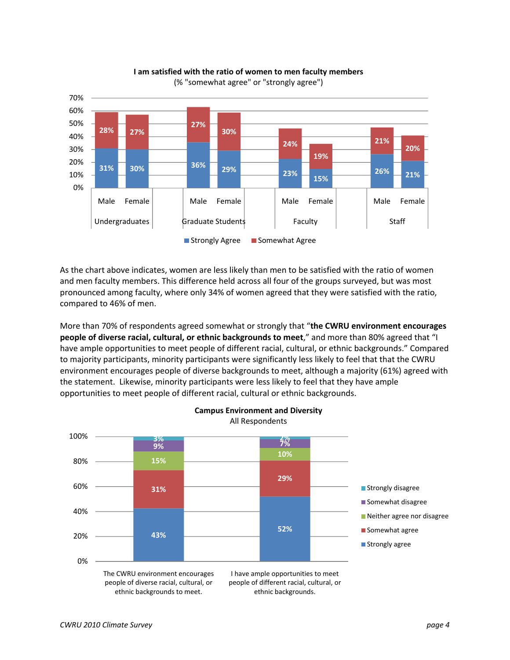

**I am satisfied with the ratio of women to men faculty members** (% "somewhat agree" or "strongly agree")

As the chart above indicates, women are less likely than men to be satisfied with the ratio of women and men faculty members. This difference held across all four of the groups surveyed, but was most pronounced among faculty, where only 34% of women agreed that they were satisfied with the ratio, compared to 46% of men.

More than 70% of respondents agreed somewhat or strongly that "**the CWRU environment encourages people of diverse racial, cultural, or ethnic backgrounds to meet**," and more than 80% agreed that "I have ample opportunities to meet people of different racial, cultural, or ethnic backgrounds." Compared to majority participants, minority participants were significantly less likely to feel that that the CWRU environment encourages people of diverse backgrounds to meet, although a majority (61%) agreed with the statement. Likewise, minority participants were less likely to feel that they have ample opportunities to meet people of different racial, cultural or ethnic backgrounds.

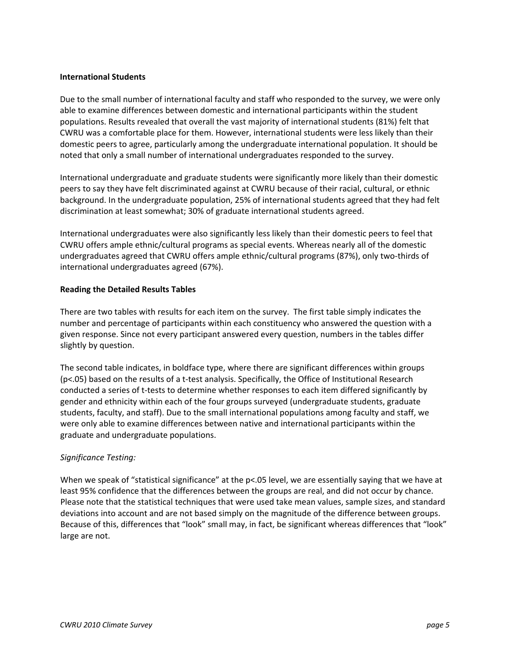#### **International Students**

Due to the small number of international faculty and staff who responded to the survey, we were only able to examine differences between domestic and international participants within the student populations. Results revealed that overall the vast majority of international students (81%) felt that CWRU was a comfortable place for them. However, international students were less likely than their domestic peers to agree, particularly among the undergraduate international population. It should be noted that only a small number of international undergraduates responded to the survey.

International undergraduate and graduate students were significantly more likely than their domestic peers to say they have felt discriminated against at CWRU because of their racial, cultural, or ethnic background. In the undergraduate population, 25% of international students agreed that they had felt discrimination at least somewhat; 30% of graduate international students agreed.

International undergraduates were also significantly less likely than their domestic peers to feel that CWRU offers ample ethnic/cultural programs as special events. Whereas nearly all of the domestic undergraduates agreed that CWRU offers ample ethnic/cultural programs (87%), only two‐thirds of international undergraduates agreed (67%).

#### **Reading the Detailed Results Tables**

There are two tables with results for each item on the survey. The first table simply indicates the number and percentage of participants within each constituency who answered the question with a given response. Since not every participant answered every question, numbers in the tables differ slightly by question.

The second table indicates, in boldface type, where there are significant differences within groups (p<.05) based on the results of a t‐test analysis. Specifically, the Office of Institutional Research conducted a series of t-tests to determine whether responses to each item differed significantly by gender and ethnicity within each of the four groups surveyed (undergraduate students, graduate students, faculty, and staff). Due to the small international populations among faculty and staff, we were only able to examine differences between native and international participants within the graduate and undergraduate populations.

### *Significance Testing:*

When we speak of "statistical significance" at the p<.05 level, we are essentially saying that we have at least 95% confidence that the differences between the groups are real, and did not occur by chance. Please note that the statistical techniques that were used take mean values, sample sizes, and standard deviations into account and are not based simply on the magnitude of the difference between groups. Because of this, differences that "look" small may, in fact, be significant whereas differences that "look" large are not.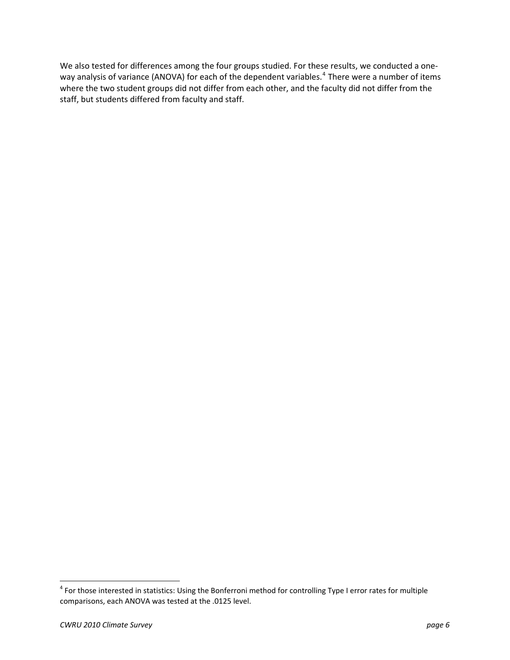We also tested for differences among the four groups studied. For these results, we conducted a one‐ way analysis of variance (ANOVA) for each of the dependent variables.<sup>[4](#page-6-0)</sup> There were a number of items where the two student groups did not differ from each other, and the faculty did not differ from the staff, but students differed from faculty and staff.

<span id="page-6-0"></span><sup>&</sup>lt;sup>4</sup> For those interested in statistics: Using the Bonferroni method for controlling Type I error rates for multiple comparisons, each ANOVA was tested at the .0125 level.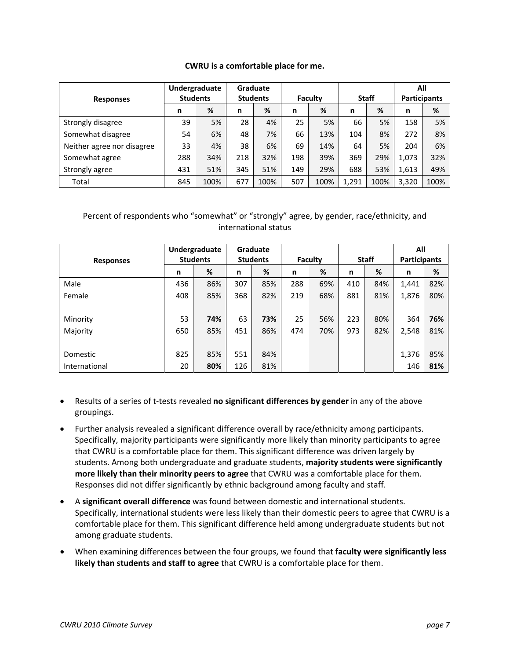#### **CWRU is a comfortable place for me.**

|                            | Undergraduate<br><b>Students</b> |      |                 | <b>Graduate</b> |         |      |              |      | All                 |      |
|----------------------------|----------------------------------|------|-----------------|-----------------|---------|------|--------------|------|---------------------|------|
| <b>Responses</b>           |                                  |      | <b>Students</b> |                 | Faculty |      | <b>Staff</b> |      | <b>Participants</b> |      |
|                            | n                                | %    | n               | %               | n       | %    | n            | %    | n                   | %    |
| Strongly disagree          | 39                               | 5%   | 28              | 4%              | 25      | 5%   | 66           | 5%   | 158                 | 5%   |
| Somewhat disagree          | 54                               | 6%   | 48              | 7%              | 66      | 13%  | 104          | 8%   | 272                 | 8%   |
| Neither agree nor disagree | 33                               | 4%   | 38              | 6%              | 69      | 14%  | 64           | 5%   | 204                 | 6%   |
| Somewhat agree             | 288                              | 34%  | 218             | 32%             | 198     | 39%  | 369          | 29%  | 1,073               | 32%  |
| Strongly agree             | 431                              | 51%  | 345             | 51%             | 149     | 29%  | 688          | 53%  | 1,613               | 49%  |
| Total                      | 845                              | 100% | 677             | 100%            | 507     | 100% | 1,291        | 100% | 3,320               | 100% |

| <b>Responses</b> | Undergraduate<br><b>Students</b> |     | Graduate<br><b>Students</b> |     | Faculty |     | <b>Staff</b> |     | All<br><b>Participants</b> |     |
|------------------|----------------------------------|-----|-----------------------------|-----|---------|-----|--------------|-----|----------------------------|-----|
|                  | n                                | %   | n                           | %   | n       | %   | n            | %   | n                          | %   |
| Male             | 436                              | 86% | 307                         | 85% | 288     | 69% | 410          | 84% | 1,441                      | 82% |
| Female           | 408                              | 85% | 368                         | 82% | 219     | 68% | 881          | 81% | 1,876                      | 80% |
|                  |                                  |     |                             |     |         |     |              |     |                            |     |
| Minority         | 53                               | 74% | 63                          | 73% | 25      | 56% | 223          | 80% | 364                        | 76% |
| Majority         | 650                              | 85% | 451                         | 86% | 474     | 70% | 973          | 82% | 2,548                      | 81% |
|                  |                                  |     |                             |     |         |     |              |     |                            |     |
| Domestic         | 825                              | 85% | 551                         | 84% |         |     |              |     | 1,376                      | 85% |
| International    | 20                               | 80% | 126                         | 81% |         |     |              |     | 146                        | 81% |

- Results of a series of t‐tests revealed **no significant differences by gender** in any of the above groupings.
- Further analysis revealed a significant difference overall by race/ethnicity among participants. Specifically, majority participants were significantly more likely than minority participants to agree that CWRU is a comfortable place for them. This significant difference was driven largely by students. Among both undergraduate and graduate students, **majority students were significantly more likely than their minority peers to agree** that CWRU was a comfortable place for them. Responses did not differ significantly by ethnic background among faculty and staff.
- A **significant overall difference** was found between domestic and international students. Specifically, international students were less likely than their domestic peers to agree that CWRU is a comfortable place for them. This significant difference held among undergraduate students but not among graduate students.
- When examining differences between the four groups, we found that **faculty were significantly less likely than students and staff to agree** that CWRU is a comfortable place for them.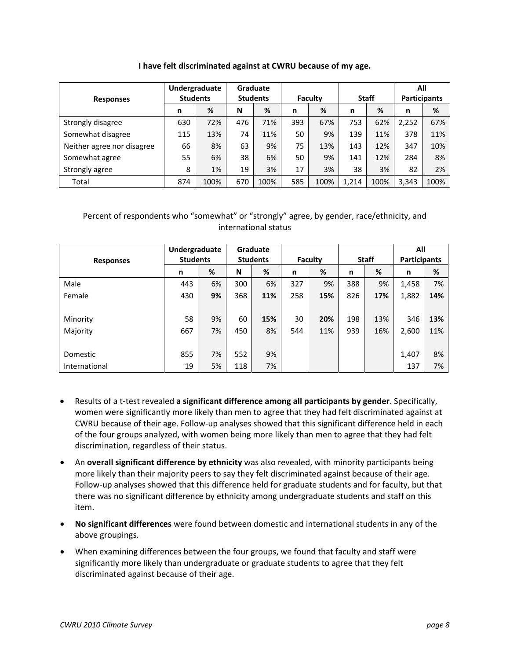| I have felt discriminated against at CWRU because of my age. |  |  |
|--------------------------------------------------------------|--|--|
|--------------------------------------------------------------|--|--|

|                            | Undergraduate<br><b>Students</b> |      |                 | <b>Graduate</b> |         |      |              |      | All                 |      |
|----------------------------|----------------------------------|------|-----------------|-----------------|---------|------|--------------|------|---------------------|------|
| <b>Responses</b>           |                                  |      | <b>Students</b> |                 | Faculty |      | <b>Staff</b> |      | <b>Participants</b> |      |
|                            | n                                | %    | N               | %               | n       | %    | n            | %    | n                   | %    |
| Strongly disagree          | 630                              | 72%  | 476             | 71%             | 393     | 67%  | 753          | 62%  | 2,252               | 67%  |
| Somewhat disagree          | 115                              | 13%  | 74              | 11%             | 50      | 9%   | 139          | 11%  | 378                 | 11%  |
| Neither agree nor disagree | 66                               | 8%   | 63              | 9%              | 75      | 13%  | 143          | 12%  | 347                 | 10%  |
| Somewhat agree             | 55                               | 6%   | 38              | 6%              | 50      | 9%   | 141          | 12%  | 284                 | 8%   |
| Strongly agree             | 8                                | 1%   | 19              | 3%              | 17      | 3%   | 38           | 3%   | 82                  | 2%   |
| Total                      | 874                              | 100% | 670             | 100%            | 585     | 100% | 1,214        | 100% | 3,343               | 100% |

|                  | Undergraduate<br><b>Students</b> |    | Graduate<br><b>Students</b> |     | <b>Faculty</b> |     | <b>Staff</b> |     | All<br><b>Participants</b> |     |
|------------------|----------------------------------|----|-----------------------------|-----|----------------|-----|--------------|-----|----------------------------|-----|
| <b>Responses</b> |                                  |    |                             |     |                |     |              |     |                            |     |
|                  | n                                | %  | N                           | %   | n              | %   | n            | %   | n                          | %   |
| Male             | 443                              | 6% | 300                         | 6%  | 327            | 9%  | 388          | 9%  | 1,458                      | 7%  |
| Female           | 430                              | 9% | 368                         | 11% | 258            | 15% | 826          | 17% | 1,882                      | 14% |
|                  |                                  |    |                             |     |                |     |              |     |                            |     |
| Minority         | 58                               | 9% | 60                          | 15% | 30             | 20% | 198          | 13% | 346                        | 13% |
| Majority         | 667                              | 7% | 450                         | 8%  | 544            | 11% | 939          | 16% | 2,600                      | 11% |
|                  |                                  |    |                             |     |                |     |              |     |                            |     |
| Domestic         | 855                              | 7% | 552                         | 9%  |                |     |              |     | 1,407                      | 8%  |
| International    | 19                               | 5% | 118                         | 7%  |                |     |              |     | 137                        | 7%  |

- Results of a t‐test revealed **a significant difference among all participants by gender**. Specifically, women were significantly more likely than men to agree that they had felt discriminated against at CWRU because of their age. Follow‐up analyses showed that this significant difference held in each of the four groups analyzed, with women being more likely than men to agree that they had felt discrimination, regardless of their status.
- An **overall significant difference by ethnicity** was also revealed, with minority participants being more likely than their majority peers to say they felt discriminated against because of their age. Follow-up analyses showed that this difference held for graduate students and for faculty, but that there was no significant difference by ethnicity among undergraduate students and staff on this item.
- **No significant differences** were found between domestic and international students in any of the above groupings.
- When examining differences between the four groups, we found that faculty and staff were significantly more likely than undergraduate or graduate students to agree that they felt discriminated against because of their age.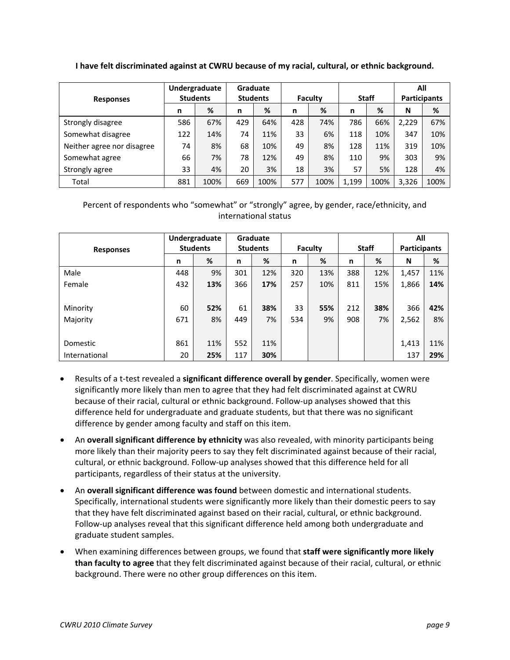**I have felt discriminated against at CWRU because of my racial, cultural, or ethnic background.**

|                            | Undergraduate<br><b>Students</b> |      |                 | Graduate |         |      |              |      |                     | All  |  |
|----------------------------|----------------------------------|------|-----------------|----------|---------|------|--------------|------|---------------------|------|--|
| <b>Responses</b>           |                                  |      | <b>Students</b> |          | Faculty |      | <b>Staff</b> |      | <b>Participants</b> |      |  |
|                            | n                                | %    | n               | %        | n       | %    | n            | %    | N                   | %    |  |
| Strongly disagree          | 586                              | 67%  | 429             | 64%      | 428     | 74%  | 786          | 66%  | 2,229               | 67%  |  |
| Somewhat disagree          | 122                              | 14%  | 74              | 11%      | 33      | 6%   | 118          | 10%  | 347                 | 10%  |  |
| Neither agree nor disagree | 74                               | 8%   | 68              | 10%      | 49      | 8%   | 128          | 11%  | 319                 | 10%  |  |
| Somewhat agree             | 66                               | 7%   | 78              | 12%      | 49      | 8%   | 110          | 9%   | 303                 | 9%   |  |
| Strongly agree             | 33                               | 4%   | 20              | 3%       | 18      | 3%   | 57           | 5%   | 128                 | 4%   |  |
| Total                      | 881                              | 100% | 669             | 100%     | 577     | 100% | 1,199        | 100% | 3,326               | 100% |  |

|                  |     | Undergraduate   |     | Graduate        |     |         |     |              | All                 |     |
|------------------|-----|-----------------|-----|-----------------|-----|---------|-----|--------------|---------------------|-----|
| <b>Responses</b> |     | <b>Students</b> |     | <b>Students</b> |     | Faculty |     | <b>Staff</b> | <b>Participants</b> |     |
|                  | n   | %               | n   | %               | n   | %       | n   | %            | N                   | %   |
| Male             | 448 | 9%              | 301 | 12%             | 320 | 13%     | 388 | 12%          | 1,457               | 11% |
| Female           | 432 | 13%             | 366 | 17%             | 257 | 10%     | 811 | 15%          | 1,866               | 14% |
|                  |     |                 |     |                 |     |         |     |              |                     |     |
| Minority         | 60  | 52%             | 61  | 38%             | 33  | 55%     | 212 | 38%          | 366                 | 42% |
| Majority         | 671 | 8%              | 449 | 7%              | 534 | 9%      | 908 | 7%           | 2,562               | 8%  |
|                  |     |                 |     |                 |     |         |     |              |                     |     |
| Domestic         | 861 | 11%             | 552 | 11%             |     |         |     |              | 1,413               | 11% |
| International    | 20  | 25%             | 117 | 30%             |     |         |     |              | 137                 | 29% |

- Results of a t‐test revealed a **significant difference overall by gender**. Specifically, women were significantly more likely than men to agree that they had felt discriminated against at CWRU because of their racial, cultural or ethnic background. Follow-up analyses showed that this difference held for undergraduate and graduate students, but that there was no significant difference by gender among faculty and staff on this item.
- An **overall significant difference by ethnicity** was also revealed, with minority participants being more likely than their majority peers to say they felt discriminated against because of their racial, cultural, or ethnic background. Follow‐up analyses showed that this difference held for all participants, regardless of their status at the university.
- An **overall significant difference was found** between domestic and international students. Specifically, international students were significantly more likely than their domestic peers to say that they have felt discriminated against based on their racial, cultural, or ethnic background. Follow‐up analyses reveal that this significant difference held among both undergraduate and graduate student samples.
- When examining differences between groups, we found that **staff were significantly more likely than faculty to agree** that they felt discriminated against because of their racial, cultural, or ethnic background. There were no other group differences on this item.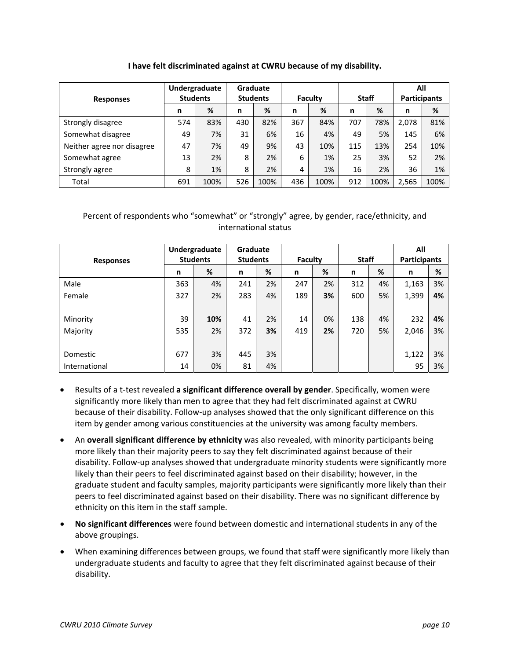#### **I have felt discriminated against at CWRU because of my disability.**

|                            | Undergraduate<br><b>Students</b> |      |                 | <b>Graduate</b> |         |      |              |      |                     | All  |
|----------------------------|----------------------------------|------|-----------------|-----------------|---------|------|--------------|------|---------------------|------|
| <b>Responses</b>           |                                  |      | <b>Students</b> |                 | Faculty |      | <b>Staff</b> |      | <b>Participants</b> |      |
|                            | n                                | %    | n               | %               | n       | %    | n            | %    | n                   | %    |
| Strongly disagree          | 574                              | 83%  | 430             | 82%             | 367     | 84%  | 707          | 78%  | 2,078               | 81%  |
| Somewhat disagree          | 49                               | 7%   | 31              | 6%              | 16      | 4%   | 49           | 5%   | 145                 | 6%   |
| Neither agree nor disagree | 47                               | 7%   | 49              | 9%              | 43      | 10%  | 115          | 13%  | 254                 | 10%  |
| Somewhat agree             | 13                               | 2%   | 8               | 2%              | 6       | 1%   | 25           | 3%   | 52                  | 2%   |
| Strongly agree             | 8                                | 1%   | 8               | 2%              | 4       | 1%   | 16           | 2%   | 36                  | 1%   |
| Total                      | 691                              | 100% | 526             | 100%            | 436     | 100% | 912          | 100% | 2,565               | 100% |

| <b>Responses</b> | Undergraduate<br><b>Students</b> |     | Graduate<br><b>Students</b> |    | Faculty |    | <b>Staff</b> |    | All<br><b>Participants</b> |    |
|------------------|----------------------------------|-----|-----------------------------|----|---------|----|--------------|----|----------------------------|----|
|                  | n                                | %   | n                           | %  | n       | %  | n            | %  | n                          | %  |
| Male             | 363                              | 4%  | 241                         | 2% | 247     | 2% | 312          | 4% | 1,163                      | 3% |
| Female           | 327                              | 2%  | 283                         | 4% | 189     | 3% | 600          | 5% | 1,399                      | 4% |
|                  |                                  |     |                             |    |         |    |              |    |                            |    |
| Minority         | 39                               | 10% | 41                          | 2% | 14      | 0% | 138          | 4% | 232                        | 4% |
| Majority         | 535                              | 2%  | 372                         | 3% | 419     | 2% | 720          | 5% | 2,046                      | 3% |
|                  |                                  |     |                             |    |         |    |              |    |                            |    |
| Domestic         | 677                              | 3%  | 445                         | 3% |         |    |              |    | 1,122                      | 3% |
| International    | 14                               | 0%  | 81                          | 4% |         |    |              |    | 95                         | 3% |

- Results of a t‐test revealed **a significant difference overall by gender**. Specifically, women were significantly more likely than men to agree that they had felt discriminated against at CWRU because of their disability. Follow-up analyses showed that the only significant difference on this item by gender among various constituencies at the university was among faculty members.
- An **overall significant difference by ethnicity** was also revealed, with minority participants being more likely than their majority peers to say they felt discriminated against because of their disability. Follow-up analyses showed that undergraduate minority students were significantly more likely than their peers to feel discriminated against based on their disability; however, in the graduate student and faculty samples, majority participants were significantly more likely than their peers to feel discriminated against based on their disability. There was no significant difference by ethnicity on this item in the staff sample.
- **No significant differences** were found between domestic and international students in any of the above groupings.
- When examining differences between groups, we found that staff were significantly more likely than undergraduate students and faculty to agree that they felt discriminated against because of their disability.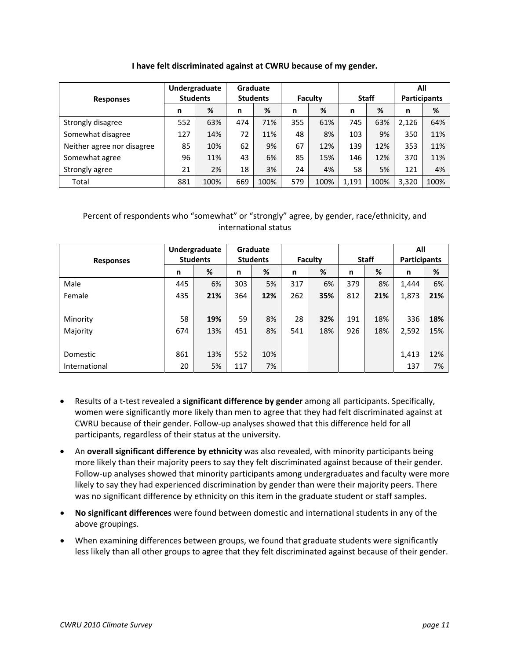#### **I have felt discriminated against at CWRU because of my gender.**

|                            | Undergraduate<br><b>Students</b> |      |                 | Graduate |         |      |              |      | All                 |      |
|----------------------------|----------------------------------|------|-----------------|----------|---------|------|--------------|------|---------------------|------|
| <b>Responses</b>           |                                  |      | <b>Students</b> |          | Faculty |      | <b>Staff</b> |      | <b>Participants</b> |      |
|                            | n                                | %    | n               | %        | n       | %    | n            | %    | n                   | %    |
| Strongly disagree          | 552                              | 63%  | 474             | 71%      | 355     | 61%  | 745          | 63%  | 2,126               | 64%  |
| Somewhat disagree          | 127                              | 14%  | 72              | 11%      | 48      | 8%   | 103          | 9%   | 350                 | 11%  |
| Neither agree nor disagree | 85                               | 10%  | 62              | 9%       | 67      | 12%  | 139          | 12%  | 353                 | 11%  |
| Somewhat agree             | 96                               | 11%  | 43              | 6%       | 85      | 15%  | 146          | 12%  | 370                 | 11%  |
| Strongly agree             | 21                               | 2%   | 18              | 3%       | 24      | 4%   | 58           | 5%   | 121                 | 4%   |
| Total                      | 881                              | 100% | 669             | 100%     | 579     | 100% | 1,191        | 100% | 3,320               | 100% |

| <b>Responses</b> | Undergraduate<br><b>Students</b> |     | Graduate<br><b>Students</b> |     | Faculty |     | <b>Staff</b> |     | All<br><b>Participants</b> |     |
|------------------|----------------------------------|-----|-----------------------------|-----|---------|-----|--------------|-----|----------------------------|-----|
|                  | n                                | %   | n                           | %   | n       | %   | n            | %   | n                          | %   |
| Male             | 445                              | 6%  | 303                         | 5%  | 317     | 6%  | 379          | 8%  | 1,444                      | 6%  |
| Female           | 435                              | 21% | 364                         | 12% | 262     | 35% | 812          | 21% | 1,873                      | 21% |
|                  |                                  |     |                             |     |         |     |              |     |                            |     |
| Minority         | 58                               | 19% | 59                          | 8%  | 28      | 32% | 191          | 18% | 336                        | 18% |
| Majority         | 674                              | 13% | 451                         | 8%  | 541     | 18% | 926          | 18% | 2,592                      | 15% |
|                  |                                  |     |                             |     |         |     |              |     |                            |     |
| Domestic         | 861                              | 13% | 552                         | 10% |         |     |              |     | 1,413                      | 12% |
| International    | 20                               | 5%  | 117                         | 7%  |         |     |              |     | 137                        | 7%  |

- Results of a t‐test revealed a **significant difference by gender** among all participants. Specifically, women were significantly more likely than men to agree that they had felt discriminated against at CWRU because of their gender. Follow‐up analyses showed that this difference held for all participants, regardless of their status at the university.
- An **overall significant difference by ethnicity** was also revealed, with minority participants being more likely than their majority peers to say they felt discriminated against because of their gender. Follow-up analyses showed that minority participants among undergraduates and faculty were more likely to say they had experienced discrimination by gender than were their majority peers. There was no significant difference by ethnicity on this item in the graduate student or staff samples.
- **No significant differences** were found between domestic and international students in any of the above groupings.
- When examining differences between groups, we found that graduate students were significantly less likely than all other groups to agree that they felt discriminated against because of their gender.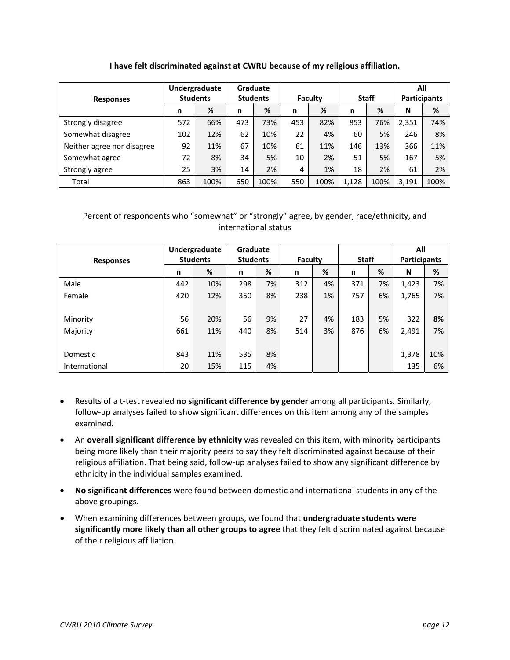### **I have felt discriminated against at CWRU because of my religious affiliation.**

|                            | Undergraduate |                 |     | <b>Graduate</b> |     |         |       |              | All                 |      |
|----------------------------|---------------|-----------------|-----|-----------------|-----|---------|-------|--------------|---------------------|------|
| <b>Responses</b>           |               | <b>Students</b> |     | <b>Students</b> |     | Faculty |       | <b>Staff</b> | <b>Participants</b> |      |
|                            | n             | %               | n   | %               | n   | %       | n     | %            | N                   | %    |
| Strongly disagree          | 572           | 66%             | 473 | 73%             | 453 | 82%     | 853   | 76%          | 2,351               | 74%  |
| Somewhat disagree          | 102           | 12%             | 62  | 10%             | 22  | 4%      | 60    | 5%           | 246                 | 8%   |
| Neither agree nor disagree | 92            | 11%             | 67  | 10%             | 61  | 11%     | 146   | 13%          | 366                 | 11%  |
| Somewhat agree             | 72            | 8%              | 34  | 5%              | 10  | 2%      | 51    | 5%           | 167                 | 5%   |
| Strongly agree             | 25            | 3%              | 14  | 2%              | 4   | 1%      | 18    | 2%           | 61                  | 2%   |
| Total                      | 863           | 100%            | 650 | 100%            | 550 | 100%    | 1,128 | 100%         | 3,191               | 100% |

| <b>Responses</b> | Undergraduate<br><b>Students</b> |     | Graduate<br><b>Students</b> |    | Faculty |    | <b>Staff</b> |    | All<br><b>Participants</b> |     |
|------------------|----------------------------------|-----|-----------------------------|----|---------|----|--------------|----|----------------------------|-----|
|                  | n                                | %   | n                           | %  | n       | %  | n            | %  | N                          | %   |
| Male             | 442                              | 10% | 298                         | 7% | 312     | 4% | 371          | 7% | 1,423                      | 7%  |
| Female           | 420                              | 12% | 350                         | 8% | 238     | 1% | 757          | 6% | 1,765                      | 7%  |
|                  |                                  |     |                             |    |         |    |              |    |                            |     |
| Minority         | 56                               | 20% | 56                          | 9% | 27      | 4% | 183          | 5% | 322                        | 8%  |
| Majority         | 661                              | 11% | 440                         | 8% | 514     | 3% | 876          | 6% | 2,491                      | 7%  |
|                  |                                  |     |                             |    |         |    |              |    |                            |     |
| Domestic         | 843                              | 11% | 535                         | 8% |         |    |              |    | 1,378                      | 10% |
| International    | 20                               | 15% | 115                         | 4% |         |    |              |    | 135                        | 6%  |

- Results of a t‐test revealed **no significant difference by gender** among all participants. Similarly, follow‐up analyses failed to show significant differences on this item among any of the samples examined.
- An **overall significant difference by ethnicity** was revealed on this item, with minority participants being more likely than their majority peers to say they felt discriminated against because of their religious affiliation. That being said, follow‐up analyses failed to show any significant difference by ethnicity in the individual samples examined.
- **No significant differences** were found between domestic and international students in any of the above groupings.
- When examining differences between groups, we found that **undergraduate students were significantly more likely than all other groups to agree** that they felt discriminated against because of their religious affiliation.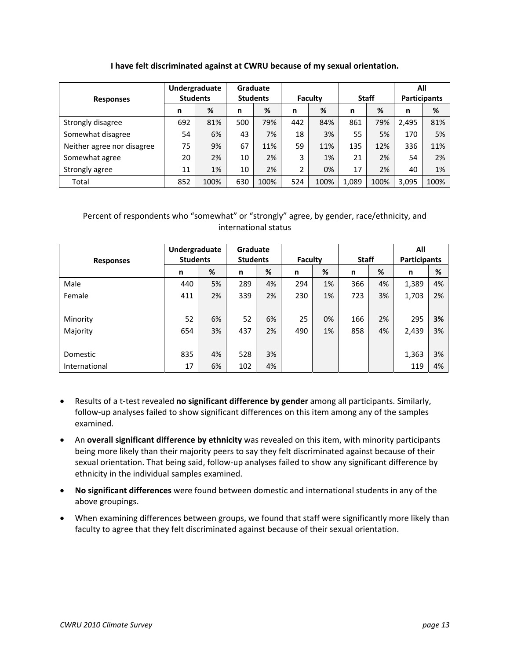### **I have felt discriminated against at CWRU because of my sexual orientation.**

|                            | Undergraduate |                 | Graduate        |      |                 |      |              |      | All                 |      |
|----------------------------|---------------|-----------------|-----------------|------|-----------------|------|--------------|------|---------------------|------|
| <b>Responses</b>           |               | <b>Students</b> | <b>Students</b> |      | Faculty         |      | <b>Staff</b> |      | <b>Participants</b> |      |
|                            | n             | %               | n               | %    | n               | %    | n            | %    | n                   | %    |
| Strongly disagree          | 692           | 81%             | 500             | 79%  | 442             | 84%  | 861          | 79%  | 2.495               | 81%  |
| Somewhat disagree          | 54            | 6%              | 43              | 7%   | 18              | 3%   | 55           | 5%   | 170                 | 5%   |
| Neither agree nor disagree | 75            | 9%              | 67              | 11%  | 59              | 11%  | 135          | 12%  | 336                 | 11%  |
| Somewhat agree             | 20            | 2%              | 10              | 2%   | 3               | 1%   | 21           | 2%   | 54                  | 2%   |
| Strongly agree             | 11            | 1%              | 10              | 2%   | ำ<br>$\epsilon$ | 0%   | 17           | 2%   | 40                  | 1%   |
| Total                      | 852           | 100%            | 630             | 100% | 524             | 100% | 1,089        | 100% | 3,095               | 100% |

|                  |                 | Undergraduate |     | Graduate        |     |         |     |              | All   |                     |  |
|------------------|-----------------|---------------|-----|-----------------|-----|---------|-----|--------------|-------|---------------------|--|
| <b>Responses</b> | <b>Students</b> |               |     | <b>Students</b> |     | Faculty |     | <b>Staff</b> |       | <b>Participants</b> |  |
|                  | n               | %             | n   | %               | n   | %       | n   | %            | n     | %                   |  |
| Male             | 440             | 5%            | 289 | 4%              | 294 | 1%      | 366 | 4%           | 1,389 | 4%                  |  |
| Female           | 411             | 2%            | 339 | 2%              | 230 | 1%      | 723 | 3%           | 1,703 | 2%                  |  |
|                  |                 |               |     |                 |     |         |     |              |       |                     |  |
| Minority         | 52              | 6%            | 52  | 6%              | 25  | 0%      | 166 | 2%           | 295   | 3%                  |  |
| Majority         | 654             | 3%            | 437 | 2%              | 490 | 1%      | 858 | 4%           | 2,439 | 3%                  |  |
|                  |                 |               |     |                 |     |         |     |              |       |                     |  |
| Domestic         | 835             | 4%            | 528 | 3%              |     |         |     |              | 1,363 | 3%                  |  |
| International    | 17              | 6%            | 102 | 4%              |     |         |     |              | 119   | 4%                  |  |

- Results of a t‐test revealed **no significant difference by gender** among all participants. Similarly, follow‐up analyses failed to show significant differences on this item among any of the samples examined.
- An **overall significant difference by ethnicity** was revealed on this item, with minority participants being more likely than their majority peers to say they felt discriminated against because of their sexual orientation. That being said, follow-up analyses failed to show any significant difference by ethnicity in the individual samples examined.
- **No significant differences** were found between domestic and international students in any of the above groupings.
- When examining differences between groups, we found that staff were significantly more likely than faculty to agree that they felt discriminated against because of their sexual orientation.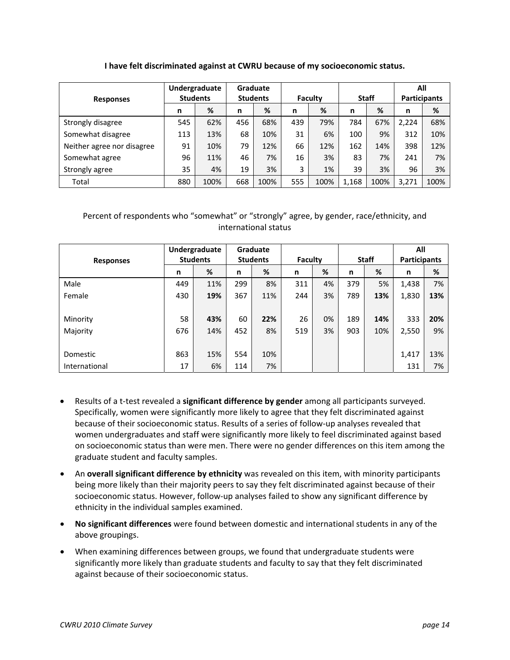#### **I have felt discriminated against at CWRU because of my socioeconomic status.**

|                            | Undergraduate   |      |                 | <b>Graduate</b> |         |      |              |      | All                 |      |
|----------------------------|-----------------|------|-----------------|-----------------|---------|------|--------------|------|---------------------|------|
| <b>Responses</b>           | <b>Students</b> |      | <b>Students</b> |                 | Faculty |      | <b>Staff</b> |      | <b>Participants</b> |      |
|                            | n               | %    | n               | %               | n       | %    | n            | %    | n                   | %    |
| Strongly disagree          | 545             | 62%  | 456             | 68%             | 439     | 79%  | 784          | 67%  | 2.224               | 68%  |
| Somewhat disagree          | 113             | 13%  | 68              | 10%             | 31      | 6%   | 100          | 9%   | 312                 | 10%  |
| Neither agree nor disagree | 91              | 10%  | 79              | 12%             | 66      | 12%  | 162          | 14%  | 398                 | 12%  |
| Somewhat agree             | 96              | 11%  | 46              | 7%              | 16      | 3%   | 83           | 7%   | 241                 | 7%   |
| Strongly agree             | 35              | 4%   | 19              | 3%              | 3       | 1%   | 39           | 3%   | 96                  | 3%   |
| Total                      | 880             | 100% | 668             | 100%            | 555     | 100% | 1,168        | 100% | 3,271               | 100% |

| <b>Responses</b> | Undergraduate<br><b>Students</b> |     | Graduate<br><b>Students</b> |     | Faculty |    | <b>Staff</b> |     | All<br><b>Participants</b> |     |
|------------------|----------------------------------|-----|-----------------------------|-----|---------|----|--------------|-----|----------------------------|-----|
|                  | n                                | %   | n                           | %   | n       | %  | n            | %   | n                          | %   |
| Male             | 449                              | 11% | 299                         | 8%  | 311     | 4% | 379          | 5%  | 1,438                      | 7%  |
| Female           | 430                              | 19% | 367                         | 11% | 244     | 3% | 789          | 13% | 1,830                      | 13% |
|                  |                                  |     |                             |     |         |    |              |     |                            |     |
| Minority         | 58                               | 43% | 60                          | 22% | 26      | 0% | 189          | 14% | 333                        | 20% |
| Majority         | 676                              | 14% | 452                         | 8%  | 519     | 3% | 903          | 10% | 2,550                      | 9%  |
|                  |                                  |     |                             |     |         |    |              |     |                            |     |
| Domestic         | 863                              | 15% | 554                         | 10% |         |    |              |     | 1,417                      | 13% |
| International    | 17                               | 6%  | 114                         | 7%  |         |    |              |     | 131                        | 7%  |

- Results of a t‐test revealed a **significant difference by gender** among all participants surveyed. Specifically, women were significantly more likely to agree that they felt discriminated against because of their socioeconomic status. Results of a series of follow‐up analyses revealed that women undergraduates and staff were significantly more likely to feel discriminated against based on socioeconomic status than were men. There were no gender differences on this item among the graduate student and faculty samples.
- An **overall significant difference by ethnicity** was revealed on this item, with minority participants being more likely than their majority peers to say they felt discriminated against because of their socioeconomic status. However, follow-up analyses failed to show any significant difference by ethnicity in the individual samples examined.
- **No significant differences** were found between domestic and international students in any of the above groupings.
- When examining differences between groups, we found that undergraduate students were significantly more likely than graduate students and faculty to say that they felt discriminated against because of their socioeconomic status.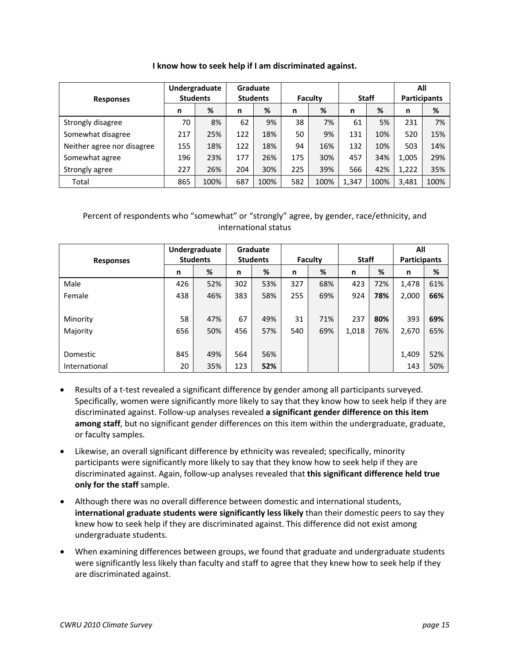|  | I know how to seek help if I am discriminated against. |
|--|--------------------------------------------------------|
|--|--------------------------------------------------------|

| <b>Responses</b>           | Undergraduate<br><b>Students</b> |      | <b>Graduate</b><br><b>Students</b> |      | Faculty |      | <b>Staff</b> |      | All<br><b>Participants</b> |      |
|----------------------------|----------------------------------|------|------------------------------------|------|---------|------|--------------|------|----------------------------|------|
|                            | n                                | %    | n                                  | %    | n       | %    | n            | %    | n                          | %    |
| Strongly disagree          | 70                               | 8%   | 62                                 | 9%   | 38      | 7%   | 61           | 5%   | 231                        | 7%   |
| Somewhat disagree          | 217                              | 25%  | 122                                | 18%  | 50      | 9%   | 131          | 10%  | 520                        | 15%  |
| Neither agree nor disagree | 155                              | 18%  | 122                                | 18%  | 94      | 16%  | 132          | 10%  | 503                        | 14%  |
| Somewhat agree             | 196                              | 23%  | 177                                | 26%  | 175     | 30%  | 457          | 34%  | 1,005                      | 29%  |
| Strongly agree             | 227                              | 26%  | 204                                | 30%  | 225     | 39%  | 566          | 42%  | 1,222                      | 35%  |
| Total                      | 865                              | 100% | 687                                | 100% | 582     | 100% | 1,347        | 100% | 3,481                      | 100% |

| <b>Responses</b> | Undergraduate<br><b>Students</b> |     | Graduate<br><b>Students</b> |     | <b>Faculty</b> |     | <b>Staff</b> |     | All<br><b>Participants</b> |     |
|------------------|----------------------------------|-----|-----------------------------|-----|----------------|-----|--------------|-----|----------------------------|-----|
|                  | n                                | %   | n                           | %   | n              | %   | n            | %   | n                          | %   |
| Male             | 426                              | 52% | 302                         | 53% | 327            | 68% | 423          | 72% | 1,478                      | 61% |
| Female           | 438                              | 46% | 383                         | 58% | 255            | 69% | 924          | 78% | 2,000                      | 66% |
|                  |                                  |     |                             |     |                |     |              |     |                            |     |
| Minority         | 58                               | 47% | 67                          | 49% | 31             | 71% | 237          | 80% | 393                        | 69% |
| Majority         | 656                              | 50% | 456                         | 57% | 540            | 69% | 1,018        | 76% | 2,670                      | 65% |
|                  |                                  |     |                             |     |                |     |              |     |                            |     |
| Domestic         | 845                              | 49% | 564                         | 56% |                |     |              |     | 1,409                      | 52% |
| International    | 20                               | 35% | 123                         | 52% |                |     |              |     | 143                        | 50% |

- Results of a t-test revealed a significant difference by gender among all participants surveyed. Specifically, women were significantly more likely to say that they know how to seek help if they are discriminated against. Follow‐up analyses revealed **a significant gender difference on this item among staff**, but no significant gender differences on this item within the undergraduate, graduate, or faculty samples.
- Likewise, an overall significant difference by ethnicity was revealed; specifically, minority participants were significantly more likely to say that they know how to seek help if they are discriminated against. Again, follow‐up analyses revealed that **this significant difference held true only for the staff** sample.
- Although there was no overall difference between domestic and international students, **international graduate students were significantly less likely** than their domestic peers to say they knew how to seek help if they are discriminated against. This difference did not exist among undergraduate students.
- When examining differences between groups, we found that graduate and undergraduate students were significantly less likely than faculty and staff to agree that they knew how to seek help if they are discriminated against.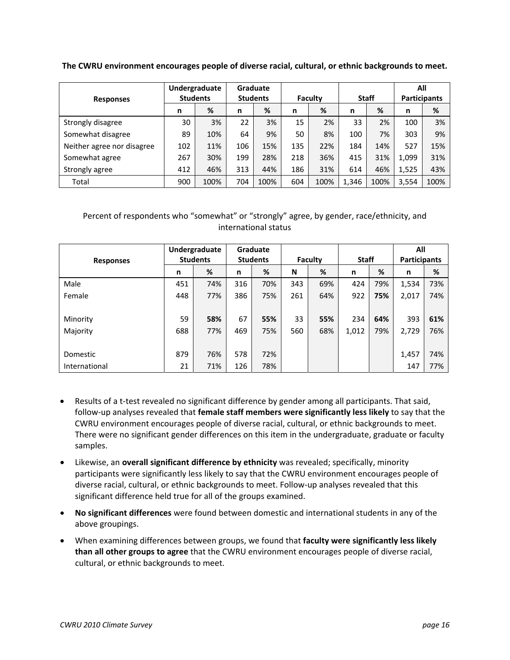**The CWRU environment encourages people of diverse racial, cultural, or ethnic backgrounds to meet.**

|                            | Undergraduate |                 | <b>Graduate</b> |      |                |      |              |      | All                 |      |
|----------------------------|---------------|-----------------|-----------------|------|----------------|------|--------------|------|---------------------|------|
| <b>Responses</b>           |               | <b>Students</b> | <b>Students</b> |      | <b>Faculty</b> |      | <b>Staff</b> |      | <b>Participants</b> |      |
|                            | n             | %               | n               | %    | n              | %    | n            | %    | n                   | %    |
| Strongly disagree          | 30            | 3%              | 22              | 3%   | 15             | 2%   | 33           | 2%   | 100                 | 3%   |
| Somewhat disagree          | 89            | 10%             | 64              | 9%   | 50             | 8%   | 100          | 7%   | 303                 | 9%   |
| Neither agree nor disagree | 102           | 11%             | 106             | 15%  | 135            | 22%  | 184          | 14%  | 527                 | 15%  |
| Somewhat agree             | 267           | 30%             | 199             | 28%  | 218            | 36%  | 415          | 31%  | 1,099               | 31%  |
| Strongly agree             | 412           | 46%             | 313             | 44%  | 186            | 31%  | 614          | 46%  | 1,525               | 43%  |
| Total                      | 900           | 100%            | 704             | 100% | 604            | 100% | 1,346        | 100% | 3,554               | 100% |

|                  | Undergraduate |                 |     | Graduate        |     |         |              |     |                     | All |
|------------------|---------------|-----------------|-----|-----------------|-----|---------|--------------|-----|---------------------|-----|
| <b>Responses</b> |               | <b>Students</b> |     | <b>Students</b> |     | Faculty | <b>Staff</b> |     | <b>Participants</b> |     |
|                  | n             | %               | n   | %               | N   | %       | n            | %   | n                   | %   |
| Male             | 451           | 74%             | 316 | 70%             | 343 | 69%     | 424          | 79% | 1,534               | 73% |
| Female           | 448           | 77%             | 386 | 75%             | 261 | 64%     | 922          | 75% | 2,017               | 74% |
|                  |               |                 |     |                 |     |         |              |     |                     |     |
| Minority         | 59            | 58%             | 67  | 55%             | 33  | 55%     | 234          | 64% | 393                 | 61% |
| Majority         | 688           | 77%             | 469 | 75%             | 560 | 68%     | 1,012        | 79% | 2,729               | 76% |
|                  |               |                 |     |                 |     |         |              |     |                     |     |
| Domestic         | 879           | 76%             | 578 | 72%             |     |         |              |     | 1,457               | 74% |
| International    | 21            | 71%             | 126 | 78%             |     |         |              |     | 147                 | 77% |

- Results of a t-test revealed no significant difference by gender among all participants. That said, follow‐up analyses revealed that **female staff members were significantly less likely** to say that the CWRU environment encourages people of diverse racial, cultural, or ethnic backgrounds to meet. There were no significant gender differences on this item in the undergraduate, graduate or faculty samples.
- Likewise, an **overall significant difference by ethnicity** was revealed; specifically, minority participants were significantly less likely to say that the CWRU environment encourages people of diverse racial, cultural, or ethnic backgrounds to meet. Follow‐up analyses revealed that this significant difference held true for all of the groups examined.
- **No significant differences** were found between domestic and international students in any of the above groupings.
- When examining differences between groups, we found that **faculty were significantly less likely than all other groups to agree** that the CWRU environment encourages people of diverse racial, cultural, or ethnic backgrounds to meet.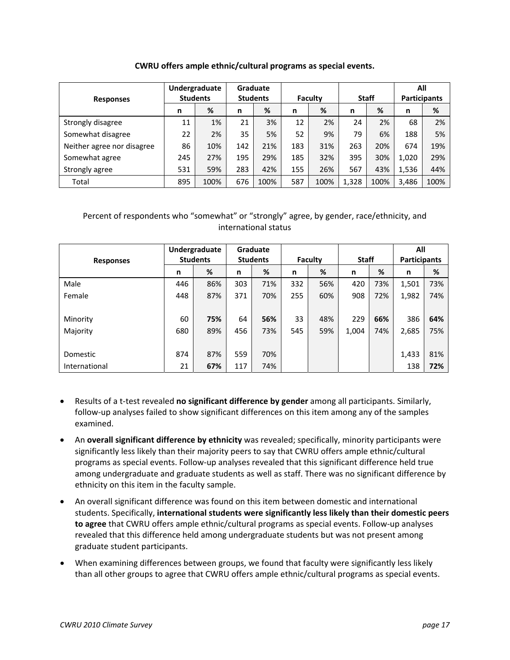|                            |     | Undergraduate   |     | <b>Graduate</b> |     |         |     |              | All   |                     |
|----------------------------|-----|-----------------|-----|-----------------|-----|---------|-----|--------------|-------|---------------------|
| <b>Responses</b>           |     | <b>Students</b> |     | <b>Students</b> |     | Faculty |     | <b>Staff</b> |       | <b>Participants</b> |
|                            | n   | %               | n   | %               | n   | %       | n   | %            | n     | %                   |
| Strongly disagree          | 11  | 1%              | 21  | 3%              | 12  | 2%      | 24  | 2%           | 68    | 2%                  |
| Somewhat disagree          | 22  | 2%              | 35  | 5%              | 52  | 9%      | 79  | 6%           | 188   | 5%                  |
| Neither agree nor disagree | 86  | 10%             | 142 | 21%             | 183 | 31%     | 263 | 20%          | 674   | 19%                 |
| Somewhat agree             | 245 | 27%             | 195 | 29%             | 185 | 32%     | 395 | 30%          | 1,020 | 29%                 |
| Strongly agree             | 531 | 59%             | 283 | 42%             | 155 | 26%     | 567 | 43%          | 1,536 | 44%                 |

#### **CWRU offers ample ethnic/cultural programs as special events.**

### Percent of respondents who "somewhat" or "strongly" agree, by gender, race/ethnicity, and international status

Total 895 100% 676 100% 587 100% 1,328 100% 3,486 100%

| <b>Responses</b> |     | Undergraduate<br><b>Students</b> |     | Graduate<br><b>Students</b> |     | Faculty | <b>Staff</b> |     | All<br><b>Participants</b> |     |
|------------------|-----|----------------------------------|-----|-----------------------------|-----|---------|--------------|-----|----------------------------|-----|
|                  | n   | %                                | n   | %                           | n   | %       | n            | %   | n                          | %   |
| Male             | 446 | 86%                              | 303 | 71%                         | 332 | 56%     | 420          | 73% | 1,501                      | 73% |
| Female           | 448 | 87%                              | 371 | 70%                         | 255 | 60%     | 908          | 72% | 1,982                      | 74% |
|                  |     |                                  |     |                             |     |         |              |     |                            |     |
| Minority         | 60  | 75%                              | 64  | 56%                         | 33  | 48%     | 229          | 66% | 386                        | 64% |
| Majority         | 680 | 89%                              | 456 | 73%                         | 545 | 59%     | 1,004        | 74% | 2,685                      | 75% |
|                  |     |                                  |     |                             |     |         |              |     |                            |     |
| Domestic         | 874 | 87%                              | 559 | 70%                         |     |         |              |     | 1,433                      | 81% |
| International    | 21  | 67%                              | 117 | 74%                         |     |         |              |     | 138                        | 72% |

- Results of a t‐test revealed **no significant difference by gender** among all participants. Similarly, follow‐up analyses failed to show significant differences on this item among any of the samples examined.
- An **overall significant difference by ethnicity** was revealed; specifically, minority participants were significantly less likely than their majority peers to say that CWRU offers ample ethnic/cultural programs as special events. Follow‐up analyses revealed that this significant difference held true among undergraduate and graduate students as well as staff. There was no significant difference by ethnicity on this item in the faculty sample.
- An overall significant difference was found on this item between domestic and international students. Specifically, **international students were significantly less likely than their domestic peers to agree** that CWRU offers ample ethnic/cultural programs as special events. Follow‐up analyses revealed that this difference held among undergraduate students but was not present among graduate student participants.
- When examining differences between groups, we found that faculty were significantly less likely than all other groups to agree that CWRU offers ample ethnic/cultural programs as special events.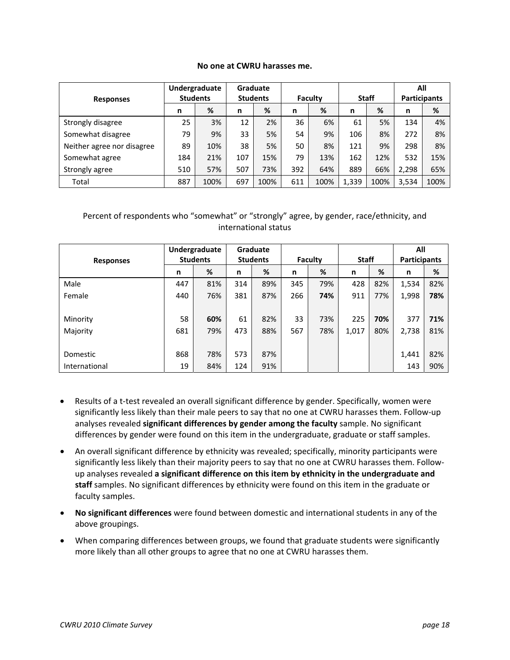#### **No one at CWRU harasses me.**

|                            |     | Undergraduate   |     | Graduate        |     |         |       |              |       | All                 |
|----------------------------|-----|-----------------|-----|-----------------|-----|---------|-------|--------------|-------|---------------------|
| <b>Responses</b>           |     | <b>Students</b> |     | <b>Students</b> |     | Faculty |       | <b>Staff</b> |       | <b>Participants</b> |
|                            | n   | %               | n   | %               | n   | %       | n     | %            | n     | %                   |
| Strongly disagree          | 25  | 3%              | 12  | 2%              | 36  | 6%      | 61    | 5%           | 134   | 4%                  |
| Somewhat disagree          | 79  | 9%              | 33  | 5%              | 54  | 9%      | 106   | 8%           | 272   | 8%                  |
| Neither agree nor disagree | 89  | 10%             | 38  | 5%              | 50  | 8%      | 121   | 9%           | 298   | 8%                  |
| Somewhat agree             | 184 | 21%             | 107 | 15%             | 79  | 13%     | 162   | 12%          | 532   | 15%                 |
| Strongly agree             | 510 | 57%             | 507 | 73%             | 392 | 64%     | 889   | 66%          | 2,298 | 65%                 |
| Total                      | 887 | 100%            | 697 | 100%            | 611 | 100%    | 1,339 | 100%         | 3,534 | 100%                |

| <b>Responses</b> |     | Undergraduate<br><b>Students</b> |     | Graduate<br><b>Students</b> |     | <b>Faculty</b> | <b>Staff</b> |     | All<br><b>Participants</b> |     |
|------------------|-----|----------------------------------|-----|-----------------------------|-----|----------------|--------------|-----|----------------------------|-----|
|                  | n   | %                                | n   | %                           | n   | %              | n            | %   | n                          | %   |
| Male             | 447 | 81%                              | 314 | 89%                         | 345 | 79%            | 428          | 82% | 1,534                      | 82% |
| Female           | 440 | 76%                              | 381 | 87%                         | 266 | 74%            | 911          | 77% | 1,998                      | 78% |
|                  |     |                                  |     |                             |     |                |              |     |                            |     |
| Minority         | 58  | 60%                              | 61  | 82%                         | 33  | 73%            | 225          | 70% | 377                        | 71% |
| Majority         | 681 | 79%                              | 473 | 88%                         | 567 | 78%            | 1,017        | 80% | 2,738                      | 81% |
|                  |     |                                  |     |                             |     |                |              |     |                            |     |
| Domestic         | 868 | 78%                              | 573 | 87%                         |     |                |              |     | 1,441                      | 82% |
| International    | 19  | 84%                              | 124 | 91%                         |     |                |              |     | 143                        | 90% |

- Results of a t-test revealed an overall significant difference by gender. Specifically, women were significantly less likely than their male peers to say that no one at CWRU harasses them. Follow‐up analyses revealed **significant differences by gender among the faculty** sample. No significant differences by gender were found on this item in the undergraduate, graduate or staff samples.
- An overall significant difference by ethnicity was revealed; specifically, minority participants were significantly less likely than their majority peers to say that no one at CWRU harasses them. Follow‐ up analyses revealed **a significant difference on this item by ethnicity in the undergraduate and staff** samples. No significant differences by ethnicity were found on this item in the graduate or faculty samples.
- **No significant differences** were found between domestic and international students in any of the above groupings.
- When comparing differences between groups, we found that graduate students were significantly more likely than all other groups to agree that no one at CWRU harasses them.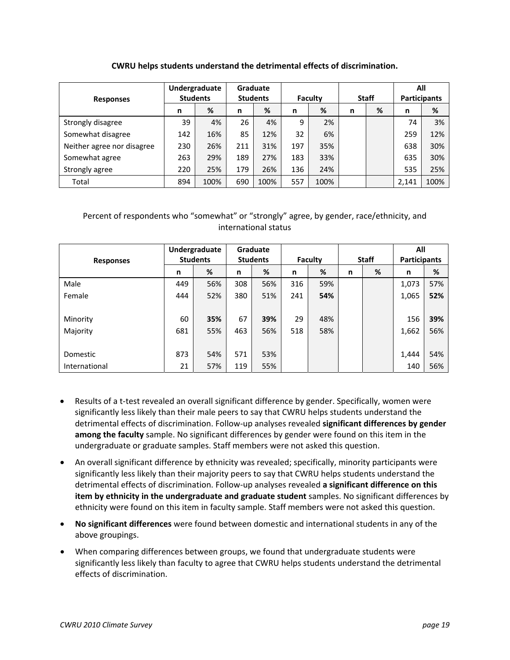### **CWRU helps students understand the detrimental effects of discrimination.**

|                            |     | Undergraduate   |     | Graduate        |     |         |   |              |       | All                 |
|----------------------------|-----|-----------------|-----|-----------------|-----|---------|---|--------------|-------|---------------------|
| <b>Responses</b>           |     | <b>Students</b> |     | <b>Students</b> |     | Faculty |   | <b>Staff</b> |       | <b>Participants</b> |
|                            | n   | %               | n   | %               | n   | %       | n | %            | n     | %                   |
| Strongly disagree          | 39  | 4%              | 26  | 4%              | 9   | 2%      |   |              | 74    | 3%                  |
| Somewhat disagree          | 142 | 16%             | 85  | 12%             | 32  | 6%      |   |              | 259   | 12%                 |
| Neither agree nor disagree | 230 | 26%             | 211 | 31%             | 197 | 35%     |   |              | 638   | 30%                 |
| Somewhat agree             | 263 | 29%             | 189 | 27%             | 183 | 33%     |   |              | 635   | 30%                 |
| Strongly agree             | 220 | 25%             | 179 | 26%             | 136 | 24%     |   |              | 535   | 25%                 |
| Total                      | 894 | 100%            | 690 | 100%            | 557 | 100%    |   |              | 2,141 | 100%                |

| <b>Responses</b> |     | Undergraduate<br><b>Students</b> |     | Graduate<br><b>Students</b> |     | Faculty |   | <b>Staff</b> | All<br><b>Participants</b> |     |
|------------------|-----|----------------------------------|-----|-----------------------------|-----|---------|---|--------------|----------------------------|-----|
|                  | n   | %                                | n   | %                           | n   | %       | n | %            | n                          | %   |
| Male             | 449 | 56%                              | 308 | 56%                         | 316 | 59%     |   |              | 1,073                      | 57% |
| Female           | 444 | 52%                              | 380 | 51%                         | 241 | 54%     |   |              | 1,065                      | 52% |
|                  |     |                                  |     |                             |     |         |   |              |                            |     |
| Minority         | 60  | 35%                              | 67  | 39%                         | 29  | 48%     |   |              | 156                        | 39% |
| Majority         | 681 | 55%                              | 463 | 56%                         | 518 | 58%     |   |              | 1,662                      | 56% |
|                  |     |                                  |     |                             |     |         |   |              |                            |     |
| Domestic         | 873 | 54%                              | 571 | 53%                         |     |         |   |              | 1,444                      | 54% |
| International    | 21  | 57%                              | 119 | 55%                         |     |         |   |              | 140                        | 56% |

- Results of a t-test revealed an overall significant difference by gender. Specifically, women were significantly less likely than their male peers to say that CWRU helps students understand the detrimental effects of discrimination. Follow‐up analyses revealed **significant differences by gender among the faculty** sample. No significant differences by gender were found on this item in the undergraduate or graduate samples. Staff members were not asked this question.
- An overall significant difference by ethnicity was revealed; specifically, minority participants were significantly less likely than their majority peers to say that CWRU helps students understand the detrimental effects of discrimination. Follow‐up analyses revealed **a significant difference on this item by ethnicity in the undergraduate and graduate student** samples. No significant differences by ethnicity were found on this item in faculty sample. Staff members were not asked this question.
- **No significant differences** were found between domestic and international students in any of the above groupings.
- When comparing differences between groups, we found that undergraduate students were significantly less likely than faculty to agree that CWRU helps students understand the detrimental effects of discrimination.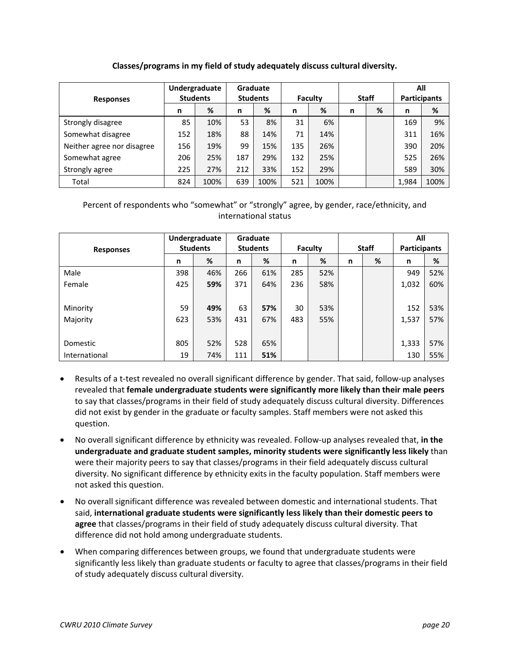### **Classes/programs in my field of study adequately discuss cultural diversity.**

|                            |     | Undergraduate   |     | Graduate        |     |         |   |              | All   |                     |
|----------------------------|-----|-----------------|-----|-----------------|-----|---------|---|--------------|-------|---------------------|
| <b>Responses</b>           |     | <b>Students</b> |     | <b>Students</b> |     | Faculty |   | <b>Staff</b> |       | <b>Participants</b> |
|                            | n   | %               | n   | %               | n   | %       | n | %            | n     | %                   |
| Strongly disagree          | 85  | 10%             | 53  | 8%              | 31  | 6%      |   |              | 169   | 9%                  |
| Somewhat disagree          | 152 | 18%             | 88  | 14%             | 71  | 14%     |   |              | 311   | 16%                 |
| Neither agree nor disagree | 156 | 19%             | 99  | 15%             | 135 | 26%     |   |              | 390   | 20%                 |
| Somewhat agree             | 206 | 25%             | 187 | 29%             | 132 | 25%     |   |              | 525   | 26%                 |
| Strongly agree             | 225 | 27%             | 212 | 33%             | 152 | 29%     |   |              | 589   | 30%                 |
| Total                      | 824 | 100%            | 639 | 100%            | 521 | 100%    |   |              | 1,984 | 100%                |

|                  |     | Undergraduate   |     | Graduate        |     |         |   |              | All                 |     |
|------------------|-----|-----------------|-----|-----------------|-----|---------|---|--------------|---------------------|-----|
| <b>Responses</b> |     | <b>Students</b> |     | <b>Students</b> |     | Faculty |   | <b>Staff</b> | <b>Participants</b> |     |
|                  | n   | %               | n   | %               | n   | %       | n | %            | n                   | %   |
| Male             | 398 | 46%             | 266 | 61%             | 285 | 52%     |   |              | 949                 | 52% |
| Female           | 425 | 59%             | 371 | 64%             | 236 | 58%     |   |              | 1,032               | 60% |
|                  |     |                 |     |                 |     |         |   |              |                     |     |
| Minority         | 59  | 49%             | 63  | 57%             | 30  | 53%     |   |              | 152                 | 53% |
| Majority         | 623 | 53%             | 431 | 67%             | 483 | 55%     |   |              | 1,537               | 57% |
|                  |     |                 |     |                 |     |         |   |              |                     |     |
| Domestic         | 805 | 52%             | 528 | 65%             |     |         |   |              | 1,333               | 57% |
| International    | 19  | 74%             | 111 | 51%             |     |         |   |              | 130                 | 55% |

- Results of a t-test revealed no overall significant difference by gender. That said, follow-up analyses revealed that **female undergraduate students were significantly more likely than their male peers** to say that classes/programs in their field of study adequately discuss cultural diversity. Differences did not exist by gender in the graduate or faculty samples. Staff members were not asked this question.
- No overall significant difference by ethnicity was revealed. Follow‐up analyses revealed that, **in the undergraduate and graduate student samples, minority students were significantly less likely** than were their majority peers to say that classes/programs in their field adequately discuss cultural diversity. No significant difference by ethnicity exits in the faculty population. Staff members were not asked this question.
- No overall significant difference was revealed between domestic and international students. That said, **international graduate students were significantly less likely than their domestic peers to agree** that classes/programs in their field of study adequately discuss cultural diversity. That difference did not hold among undergraduate students.
- When comparing differences between groups, we found that undergraduate students were significantly less likely than graduate students or faculty to agree that classes/programs in their field of study adequately discuss cultural diversity.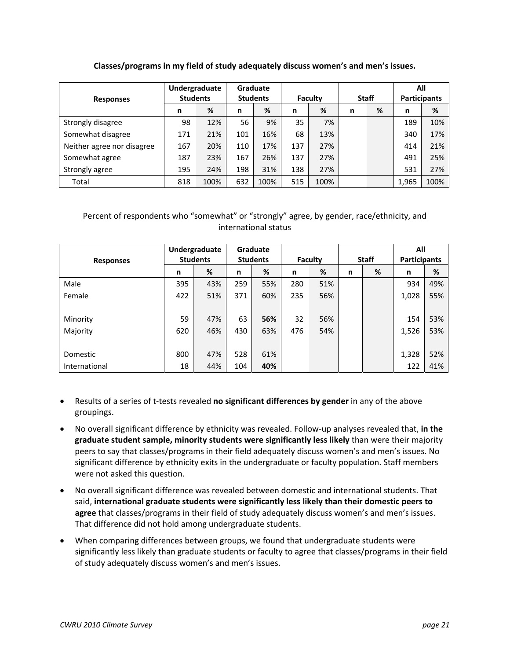### **Classes/programs in my field of study adequately discuss women's and men's issues.**

|                            |     | Undergraduate   |     | Graduate        |     |         |   |              |       | All                 |
|----------------------------|-----|-----------------|-----|-----------------|-----|---------|---|--------------|-------|---------------------|
| <b>Responses</b>           |     | <b>Students</b> |     | <b>Students</b> |     | Faculty |   | <b>Staff</b> |       | <b>Participants</b> |
|                            | n   | %               | n   | %               | n   | %       | n | %            | n     | %                   |
| Strongly disagree          | 98  | 12%             | 56  | 9%              | 35  | 7%      |   |              | 189   | 10%                 |
| Somewhat disagree          | 171 | 21%             | 101 | 16%             | 68  | 13%     |   |              | 340   | 17%                 |
| Neither agree nor disagree | 167 | 20%             | 110 | 17%             | 137 | 27%     |   |              | 414   | 21%                 |
| Somewhat agree             | 187 | 23%             | 167 | 26%             | 137 | 27%     |   |              | 491   | 25%                 |
| Strongly agree             | 195 | 24%             | 198 | 31%             | 138 | 27%     |   |              | 531   | 27%                 |
| Total                      | 818 | 100%            | 632 | 100%            | 515 | 100%    |   |              | 1,965 | 100%                |

| <b>Responses</b> |     | Undergraduate<br><b>Students</b> |     | Graduate<br><b>Students</b> |     | <b>Faculty</b> |   | <b>Staff</b> | All<br><b>Participants</b> |     |
|------------------|-----|----------------------------------|-----|-----------------------------|-----|----------------|---|--------------|----------------------------|-----|
|                  |     |                                  |     |                             |     |                |   |              |                            |     |
|                  | n   | %                                | n   | %                           | n   | %              | n | %            | n                          | %   |
| Male             | 395 | 43%                              | 259 | 55%                         | 280 | 51%            |   |              | 934                        | 49% |
| Female           | 422 | 51%                              | 371 | 60%                         | 235 | 56%            |   |              | 1,028                      | 55% |
|                  |     |                                  |     |                             |     |                |   |              |                            |     |
| Minority         | 59  | 47%                              | 63  | 56%                         | 32  | 56%            |   |              | 154                        | 53% |
| Majority         | 620 | 46%                              | 430 | 63%                         | 476 | 54%            |   |              | 1,526                      | 53% |
|                  |     |                                  |     |                             |     |                |   |              |                            |     |
| Domestic         | 800 | 47%                              | 528 | 61%                         |     |                |   |              | 1,328                      | 52% |
| International    | 18  | 44%                              | 104 | 40%                         |     |                |   |              | 122                        | 41% |

- Results of a series of t‐tests revealed **no significant differences by gender** in any of the above groupings.
- No overall significant difference by ethnicity was revealed. Follow‐up analyses revealed that, **in the graduate student sample, minority students were significantly less likely** than were their majority peers to say that classes/programs in their field adequately discuss women's and men's issues. No significant difference by ethnicity exits in the undergraduate or faculty population. Staff members were not asked this question.
- No overall significant difference was revealed between domestic and international students. That said, **international graduate students were significantly less likely than their domestic peers to agree** that classes/programs in their field of study adequately discuss women's and men's issues. That difference did not hold among undergraduate students.
- When comparing differences between groups, we found that undergraduate students were significantly less likely than graduate students or faculty to agree that classes/programs in their field of study adequately discuss women's and men's issues.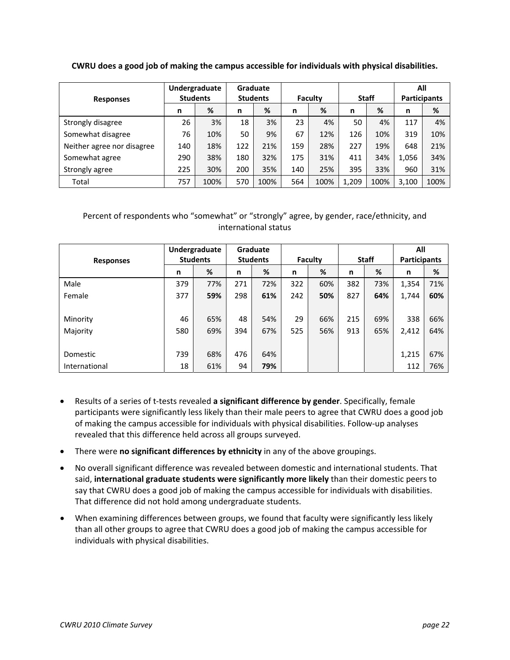**CWRU does a good job of making the campus accessible for individuals with physical disabilities.**

|                            |     | Undergraduate   |     | Graduate        |     |         |       |              | All   |                     |
|----------------------------|-----|-----------------|-----|-----------------|-----|---------|-------|--------------|-------|---------------------|
| <b>Responses</b>           |     | <b>Students</b> |     | <b>Students</b> |     | Faculty |       | <b>Staff</b> |       | <b>Participants</b> |
|                            | n   | %               | n   | %               | n   | %       | n     | %            | n     | %                   |
| Strongly disagree          | 26  | 3%              | 18  | 3%              | 23  | 4%      | 50    | 4%           | 117   | 4%                  |
| Somewhat disagree          | 76  | 10%             | 50  | 9%              | 67  | 12%     | 126   | 10%          | 319   | 10%                 |
| Neither agree nor disagree | 140 | 18%             | 122 | 21%             | 159 | 28%     | 227   | 19%          | 648   | 21%                 |
| Somewhat agree             | 290 | 38%             | 180 | 32%             | 175 | 31%     | 411   | 34%          | 1,056 | 34%                 |
| Strongly agree             | 225 | 30%             | 200 | 35%             | 140 | 25%     | 395   | 33%          | 960   | 31%                 |
| Total                      | 757 | 100%            | 570 | 100%            | 564 | 100%    | 1,209 | 100%         | 3,100 | 100%                |

|                  |     | Undergraduate   |     | Graduate        |     |         |     |              | All                 |     |
|------------------|-----|-----------------|-----|-----------------|-----|---------|-----|--------------|---------------------|-----|
| <b>Responses</b> |     | <b>Students</b> |     | <b>Students</b> |     | Faculty |     | <b>Staff</b> | <b>Participants</b> |     |
|                  | n   | %               | n   | %               | n   | %       | n   | %            | n                   | %   |
| Male             | 379 | 77%             | 271 | 72%             | 322 | 60%     | 382 | 73%          | 1,354               | 71% |
| Female           | 377 | 59%             | 298 | 61%             | 242 | 50%     | 827 | 64%          | 1,744               | 60% |
|                  |     |                 |     |                 |     |         |     |              |                     |     |
| Minority         | 46  | 65%             | 48  | 54%             | 29  | 66%     | 215 | 69%          | 338                 | 66% |
| Majority         | 580 | 69%             | 394 | 67%             | 525 | 56%     | 913 | 65%          | 2,412               | 64% |
|                  |     |                 |     |                 |     |         |     |              |                     |     |
| Domestic         | 739 | 68%             | 476 | 64%             |     |         |     |              | 1,215               | 67% |
| International    | 18  | 61%             | 94  | 79%             |     |         |     |              | 112                 | 76% |

- Results of a series of t‐tests revealed **a significant difference by gender**. Specifically, female participants were significantly less likely than their male peers to agree that CWRU does a good job of making the campus accessible for individuals with physical disabilities. Follow‐up analyses revealed that this difference held across all groups surveyed.
- There were **no significant differences by ethnicity** in any of the above groupings.
- No overall significant difference was revealed between domestic and international students. That said, **international graduate students were significantly more likely** than their domestic peers to say that CWRU does a good job of making the campus accessible for individuals with disabilities. That difference did not hold among undergraduate students.
- When examining differences between groups, we found that faculty were significantly less likely than all other groups to agree that CWRU does a good job of making the campus accessible for individuals with physical disabilities.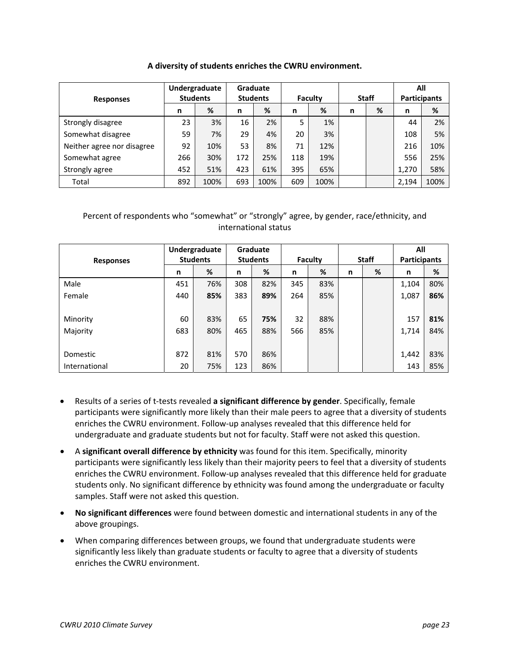| A diversity of students enriches the CWRU environment. |  |  |  |
|--------------------------------------------------------|--|--|--|
|--------------------------------------------------------|--|--|--|

|                            | Undergraduate |                 |     | Graduate        |     |         |   |              | All                 |      |
|----------------------------|---------------|-----------------|-----|-----------------|-----|---------|---|--------------|---------------------|------|
| <b>Responses</b>           |               | <b>Students</b> |     | <b>Students</b> |     | Faculty |   | <b>Staff</b> | <b>Participants</b> |      |
|                            | n             | %               | n   | %               | n   | %       | n | %            | n                   | %    |
| Strongly disagree          | 23            | 3%              | 16  | 2%              | 5   | 1%      |   |              | 44                  | 2%   |
| Somewhat disagree          | 59            | 7%              | 29  | 4%              | 20  | 3%      |   |              | 108                 | 5%   |
| Neither agree nor disagree | 92            | 10%             | 53  | 8%              | 71  | 12%     |   |              | 216                 | 10%  |
| Somewhat agree             | 266           | 30%             | 172 | 25%             | 118 | 19%     |   |              | 556                 | 25%  |
| Strongly agree             | 452           | 51%             | 423 | 61%             | 395 | 65%     |   |              | 1.270               | 58%  |
| Total                      | 892           | 100%            | 693 | 100%            | 609 | 100%    |   |              | 2,194               | 100% |

| <b>Responses</b> | Undergraduate<br><b>Students</b> |     | Graduate<br><b>Students</b> |     | <b>Faculty</b> |     | <b>Staff</b> |   | All<br><b>Participants</b> |     |
|------------------|----------------------------------|-----|-----------------------------|-----|----------------|-----|--------------|---|----------------------------|-----|
|                  | n                                | %   | n                           | %   | n              | %   | n            | % | n                          | %   |
| Male             | 451                              | 76% | 308                         | 82% | 345            | 83% |              |   | 1,104                      | 80% |
| Female           | 440                              | 85% | 383                         | 89% | 264            | 85% |              |   | 1,087                      | 86% |
|                  |                                  |     |                             |     |                |     |              |   |                            |     |
| Minority         | 60                               | 83% | 65                          | 75% | 32             | 88% |              |   | 157                        | 81% |
| Majority         | 683                              | 80% | 465                         | 88% | 566            | 85% |              |   | 1,714                      | 84% |
|                  |                                  |     |                             |     |                |     |              |   |                            |     |
| Domestic         | 872                              | 81% | 570                         | 86% |                |     |              |   | 1,442                      | 83% |
| International    | 20                               | 75% | 123                         | 86% |                |     |              |   | 143                        | 85% |

- Results of a series of t‐tests revealed **a significant difference by gender**. Specifically, female participants were significantly more likely than their male peers to agree that a diversity of students enriches the CWRU environment. Follow‐up analyses revealed that this difference held for undergraduate and graduate students but not for faculty. Staff were not asked this question.
- A **significant overall difference by ethnicity** was found for this item. Specifically, minority participants were significantly less likely than their majority peers to feel that a diversity of students enriches the CWRU environment. Follow‐up analyses revealed that this difference held for graduate students only. No significant difference by ethnicity was found among the undergraduate or faculty samples. Staff were not asked this question.
- **No significant differences** were found between domestic and international students in any of the above groupings.
- When comparing differences between groups, we found that undergraduate students were significantly less likely than graduate students or faculty to agree that a diversity of students enriches the CWRU environment.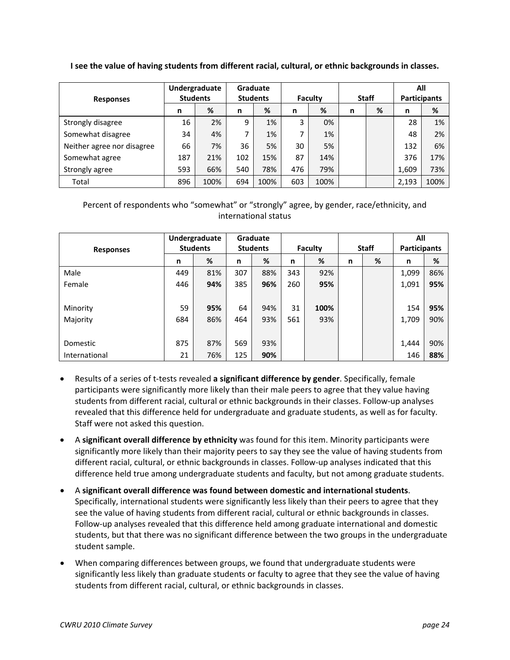**I see the value of having students from different racial, cultural, or ethnic backgrounds in classes.**

| <b>Responses</b>           | Undergraduate<br><b>Students</b> |      | Graduate<br><b>Students</b> |      | Faculty |      | <b>Staff</b> |   | All<br><b>Participants</b> |      |
|----------------------------|----------------------------------|------|-----------------------------|------|---------|------|--------------|---|----------------------------|------|
|                            | n                                | %    | n                           | %    | n       | %    | n            | % | n                          | %    |
| Strongly disagree          | 16                               | 2%   | 9                           | 1%   | 3       | 0%   |              |   | 28                         | 1%   |
| Somewhat disagree          | 34                               | 4%   |                             | 1%   | 7       | 1%   |              |   | 48                         | 2%   |
| Neither agree nor disagree | 66                               | 7%   | 36                          | 5%   | 30      | 5%   |              |   | 132                        | 6%   |
| Somewhat agree             | 187                              | 21%  | 102                         | 15%  | 87      | 14%  |              |   | 376                        | 17%  |
| Strongly agree             | 593                              | 66%  | 540                         | 78%  | 476     | 79%  |              |   | 1,609                      | 73%  |
| Total                      | 896                              | 100% | 694                         | 100% | 603     | 100% |              |   | 2,193                      | 100% |

|                  | Undergraduate |                 |                 | Graduate |         |      |              |   | All                 |     |
|------------------|---------------|-----------------|-----------------|----------|---------|------|--------------|---|---------------------|-----|
| <b>Responses</b> |               | <b>Students</b> | <b>Students</b> |          | Faculty |      | <b>Staff</b> |   | <b>Participants</b> |     |
|                  | n             | %               | n               | %        | n       | %    | n            | % | n                   | %   |
| Male             | 449           | 81%             | 307             | 88%      | 343     | 92%  |              |   | 1,099               | 86% |
| Female           | 446           | 94%             | 385             | 96%      | 260     | 95%  |              |   | 1,091               | 95% |
|                  |               |                 |                 |          |         |      |              |   |                     |     |
| Minority         | 59            | 95%             | 64              | 94%      | 31      | 100% |              |   | 154                 | 95% |
| Majority         | 684           | 86%             | 464             | 93%      | 561     | 93%  |              |   | 1,709               | 90% |
|                  |               |                 |                 |          |         |      |              |   |                     |     |
| Domestic         | 875           | 87%             | 569             | 93%      |         |      |              |   | 1,444               | 90% |
| International    | 21            | 76%             | 125             | 90%      |         |      |              |   | 146                 | 88% |

- Results of a series of t‐tests revealed **a significant difference by gender**. Specifically, female participants were significantly more likely than their male peers to agree that they value having students from different racial, cultural or ethnic backgrounds in their classes. Follow‐up analyses revealed that this difference held for undergraduate and graduate students, as well as for faculty. Staff were not asked this question.
- A **significant overall difference by ethnicity** was found for this item. Minority participants were significantly more likely than their majority peers to say they see the value of having students from different racial, cultural, or ethnic backgrounds in classes. Follow‐up analyses indicated that this difference held true among undergraduate students and faculty, but not among graduate students.
- A **significant overall difference was found between domestic and international students**. Specifically, international students were significantly less likely than their peers to agree that they see the value of having students from different racial, cultural or ethnic backgrounds in classes. Follow‐up analyses revealed that this difference held among graduate international and domestic students, but that there was no significant difference between the two groups in the undergraduate student sample.
- When comparing differences between groups, we found that undergraduate students were significantly less likely than graduate students or faculty to agree that they see the value of having students from different racial, cultural, or ethnic backgrounds in classes.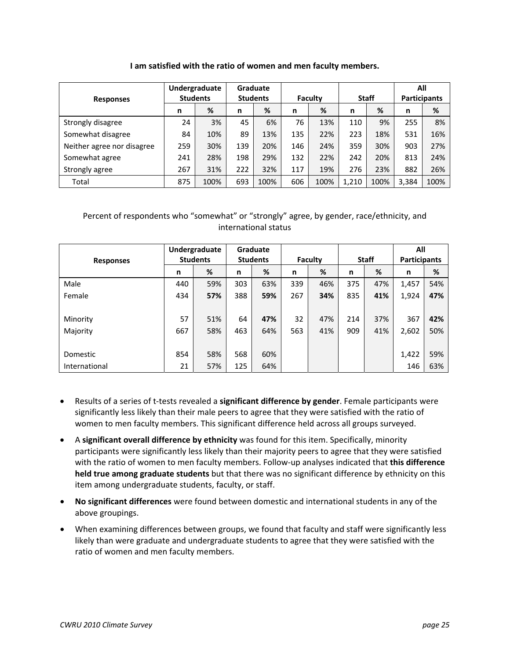#### **I am satisfied with the ratio of women and men faculty members.**

|                            | Undergraduate   |      |                 | Graduate |         |      |              |      |                     | All  |
|----------------------------|-----------------|------|-----------------|----------|---------|------|--------------|------|---------------------|------|
| <b>Responses</b>           | <b>Students</b> |      | <b>Students</b> |          | Faculty |      | <b>Staff</b> |      | <b>Participants</b> |      |
|                            | n               | %    | n               | %        | n       | %    | n            | %    | n                   | %    |
| Strongly disagree          | 24              | 3%   | 45              | 6%       | 76      | 13%  | 110          | 9%   | 255                 | 8%   |
| Somewhat disagree          | 84              | 10%  | 89              | 13%      | 135     | 22%  | 223          | 18%  | 531                 | 16%  |
| Neither agree nor disagree | 259             | 30%  | 139             | 20%      | 146     | 24%  | 359          | 30%  | 903                 | 27%  |
| Somewhat agree             | 241             | 28%  | 198             | 29%      | 132     | 22%  | 242          | 20%  | 813                 | 24%  |
| Strongly agree             | 267             | 31%  | 222             | 32%      | 117     | 19%  | 276          | 23%  | 882                 | 26%  |
| Total                      | 875             | 100% | 693             | 100%     | 606     | 100% | 1,210        | 100% | 3,384               | 100% |

| <b>Responses</b> | Undergraduate<br><b>Students</b> |     | Graduate<br><b>Students</b> |     | Faculty |     | <b>Staff</b> |     | All<br><b>Participants</b> |     |
|------------------|----------------------------------|-----|-----------------------------|-----|---------|-----|--------------|-----|----------------------------|-----|
|                  | n                                | %   | n                           | %   | n       | %   | n            | %   | n                          | %   |
| Male             | 440                              | 59% | 303                         | 63% | 339     | 46% | 375          | 47% | 1,457                      | 54% |
| Female           | 434                              | 57% | 388                         | 59% | 267     | 34% | 835          | 41% | 1,924                      | 47% |
|                  |                                  |     |                             |     |         |     |              |     |                            |     |
| Minority         | 57                               | 51% | 64                          | 47% | 32      | 47% | 214          | 37% | 367                        | 42% |
| Majority         | 667                              | 58% | 463                         | 64% | 563     | 41% | 909          | 41% | 2,602                      | 50% |
|                  |                                  |     |                             |     |         |     |              |     |                            |     |
| Domestic         | 854                              | 58% | 568                         | 60% |         |     |              |     | 1,422                      | 59% |
| International    | 21                               | 57% | 125                         | 64% |         |     |              |     | 146                        | 63% |

- Results of a series of t‐tests revealed a **significant difference by gender**. Female participants were significantly less likely than their male peers to agree that they were satisfied with the ratio of women to men faculty members. This significant difference held across all groups surveyed.
- A **significant overall difference by ethnicity** was found for this item. Specifically, minority participants were significantly less likely than their majority peers to agree that they were satisfied with the ratio of women to men faculty members. Follow‐up analyses indicated that **this difference held true among graduate students** but that there was no significant difference by ethnicity on this item among undergraduate students, faculty, or staff.
- **No significant differences** were found between domestic and international students in any of the above groupings.
- When examining differences between groups, we found that faculty and staff were significantly less likely than were graduate and undergraduate students to agree that they were satisfied with the ratio of women and men faculty members.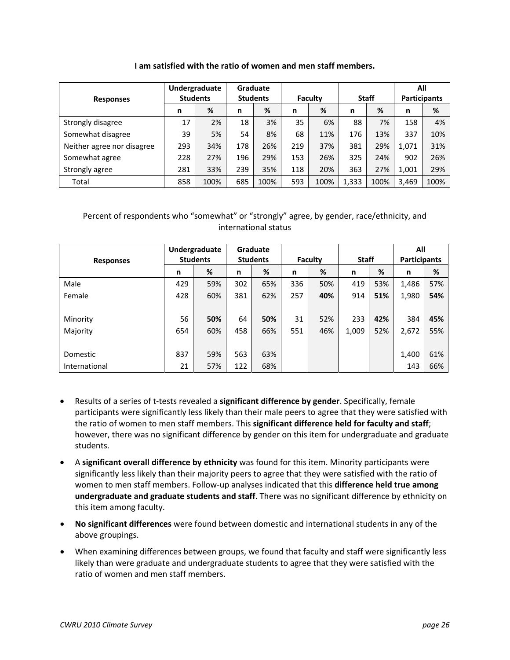#### **I am satisfied with the ratio of women and men staff members.**

|                            | Undergraduate   |      |     | Graduate        |     |         |       |              |                     | All  |
|----------------------------|-----------------|------|-----|-----------------|-----|---------|-------|--------------|---------------------|------|
| <b>Responses</b>           | <b>Students</b> |      |     | <b>Students</b> |     | Faculty |       | <b>Staff</b> | <b>Participants</b> |      |
|                            | n               | %    | n   | %               | n   | %       | n     | %            | n                   | %    |
| Strongly disagree          | 17              | 2%   | 18  | 3%              | 35  | 6%      | 88    | 7%           | 158                 | 4%   |
| Somewhat disagree          | 39              | 5%   | 54  | 8%              | 68  | 11%     | 176   | 13%          | 337                 | 10%  |
| Neither agree nor disagree | 293             | 34%  | 178 | 26%             | 219 | 37%     | 381   | 29%          | 1,071               | 31%  |
| Somewhat agree             | 228             | 27%  | 196 | 29%             | 153 | 26%     | 325   | 24%          | 902                 | 26%  |
| Strongly agree             | 281             | 33%  | 239 | 35%             | 118 | 20%     | 363   | 27%          | 1,001               | 29%  |
| Total                      | 858             | 100% | 685 | 100%            | 593 | 100%    | 1,333 | 100%         | 3,469               | 100% |

| <b>Responses</b> | Undergraduate<br><b>Students</b> |     | Graduate<br><b>Students</b> |     | <b>Faculty</b> |     | <b>Staff</b> |     | All<br><b>Participants</b> |     |
|------------------|----------------------------------|-----|-----------------------------|-----|----------------|-----|--------------|-----|----------------------------|-----|
|                  | n                                | %   | n                           | %   | n              | %   | n            | %   | n                          | %   |
|                  |                                  |     |                             |     |                |     |              |     |                            |     |
| Male             | 429                              | 59% | 302                         | 65% | 336            | 50% | 419          | 53% | 1,486                      | 57% |
| Female           | 428                              | 60% | 381                         | 62% | 257            | 40% | 914          | 51% | 1,980                      | 54% |
|                  |                                  |     |                             |     |                |     |              |     |                            |     |
| Minority         | 56                               | 50% | 64                          | 50% | 31             | 52% | 233          | 42% | 384                        | 45% |
| Majority         | 654                              | 60% | 458                         | 66% | 551            | 46% | 1,009        | 52% | 2,672                      | 55% |
|                  |                                  |     |                             |     |                |     |              |     |                            |     |
| Domestic         | 837                              | 59% | 563                         | 63% |                |     |              |     | 1,400                      | 61% |
| International    | 21                               | 57% | 122                         | 68% |                |     |              |     | 143                        | 66% |

- Results of a series of t‐tests revealed a **significant difference by gender**. Specifically, female participants were significantly less likely than their male peers to agree that they were satisfied with the ratio of women to men staff members. This **significant difference held for faculty and staff**; however, there was no significant difference by gender on this item for undergraduate and graduate students.
- A **significant overall difference by ethnicity** was found for this item. Minority participants were significantly less likely than their majority peers to agree that they were satisfied with the ratio of women to men staff members. Follow‐up analyses indicated that this **difference held true among undergraduate and graduate students and staff**. There was no significant difference by ethnicity on this item among faculty.
- **No significant differences** were found between domestic and international students in any of the above groupings.
- When examining differences between groups, we found that faculty and staff were significantly less likely than were graduate and undergraduate students to agree that they were satisfied with the ratio of women and men staff members.